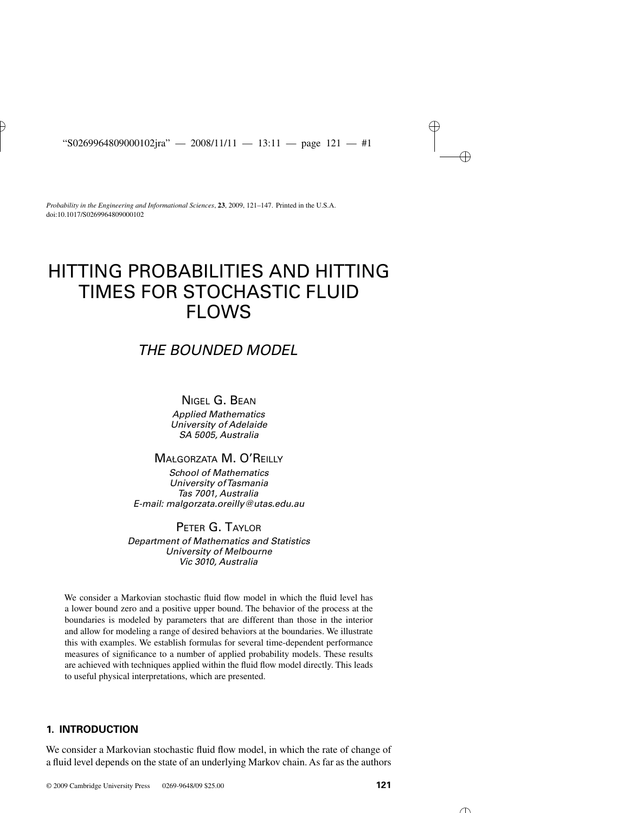*Probability in the Engineering and Informational Sciences*, **23**, 2009, 121–147. Printed in the U.S.A. doi:10.1017/S0269964809000102

# HITTING PROBABILITIES AND HITTING TIMES FOR STOCHASTIC FLUID FLOWS

# *THE BOUNDED MODEL*

## NIGEL G. BEAN

*Applied Mathematics University of Adelaide SA 5005, Australia*

## MAŁGORZATA M. O'REILLY

*School of Mathematics University ofTasmania Tas 7001, Australia E-mail: malgorzata.oreilly@utas.edu.au*

## PETER G. TAYLOR

*Department of Mathematics and Statistics University of Melbourne Vic 3010, Australia*

We consider a Markovian stochastic fluid flow model in which the fluid level has a lower bound zero and a positive upper bound. The behavior of the process at the boundaries is modeled by parameters that are different than those in the interior and allow for modeling a range of desired behaviors at the boundaries. We illustrate this with examples. We establish formulas for several time-dependent performance measures of significance to a number of applied probability models. These results are achieved with techniques applied within the fluid flow model directly. This leads to useful physical interpretations, which are presented.

### **1. INTRODUCTION**

We consider a Markovian stochastic fluid flow model, in which the rate of change of a fluid level depends on the state of an underlying Markov chain. As far as the authors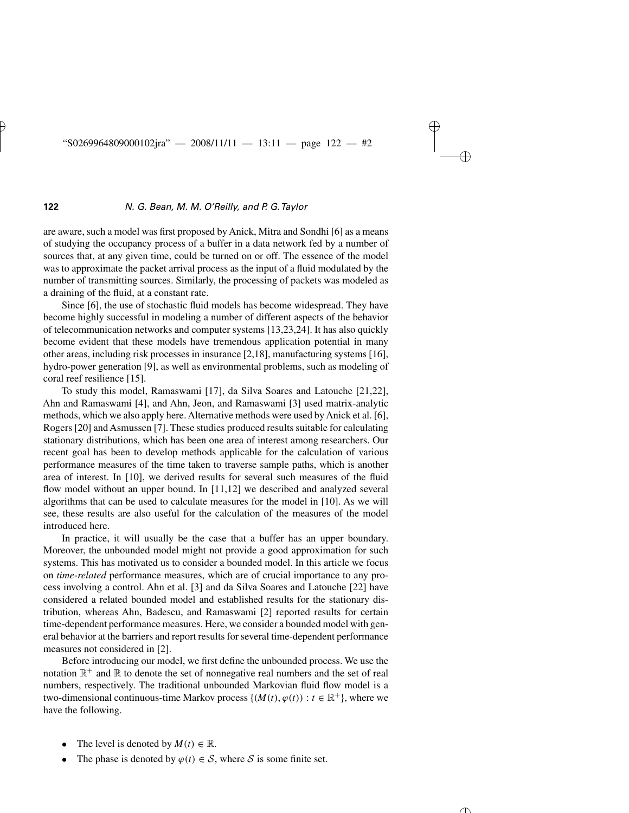are aware, such a model was first proposed by Anick, Mitra and Sondhi [6] as a means of studying the occupancy process of a buffer in a data network fed by a number of sources that, at any given time, could be turned on or off. The essence of the model was to approximate the packet arrival process as the input of a fluid modulated by the number of transmitting sources. Similarly, the processing of packets was modeled as a draining of the fluid, at a constant rate.

Since [6], the use of stochastic fluid models has become widespread. They have become highly successful in modeling a number of different aspects of the behavior of telecommunication networks and computer systems [13,23,24]. It has also quickly become evident that these models have tremendous application potential in many other areas, including risk processes in insurance [2,18], manufacturing systems [16], hydro-power generation [9], as well as environmental problems, such as modeling of coral reef resilience [15].

To study this model, Ramaswami [17], da Silva Soares and Latouche [21,22], Ahn and Ramaswami [4], and Ahn, Jeon, and Ramaswami [3] used matrix-analytic methods, which we also apply here. Alternative methods were used by Anick et al. [6], Rogers [20] and Asmussen [7]. These studies produced results suitable for calculating stationary distributions, which has been one area of interest among researchers. Our recent goal has been to develop methods applicable for the calculation of various performance measures of the time taken to traverse sample paths, which is another area of interest. In [10], we derived results for several such measures of the fluid flow model without an upper bound. In [11,12] we described and analyzed several algorithms that can be used to calculate measures for the model in [10]. As we will see, these results are also useful for the calculation of the measures of the model introduced here.

In practice, it will usually be the case that a buffer has an upper boundary. Moreover, the unbounded model might not provide a good approximation for such systems. This has motivated us to consider a bounded model. In this article we focus on *time-related* performance measures, which are of crucial importance to any process involving a control. Ahn et al. [3] and da Silva Soares and Latouche [22] have considered a related bounded model and established results for the stationary distribution, whereas Ahn, Badescu, and Ramaswami [2] reported results for certain time-dependent performance measures. Here, we consider a bounded model with general behavior at the barriers and report results for several time-dependent performance measures not considered in [2].

Before introducing our model, we first define the unbounded process. We use the notation  $\mathbb{R}^+$  and  $\mathbb R$  to denote the set of nonnegative real numbers and the set of real numbers, respectively. The traditional unbounded Markovian fluid flow model is a two-dimensional continuous-time Markov process  $\{(M(t), \varphi(t)) : t \in \mathbb{R}^+\}$ , where we have the following.

- The level is denoted by  $M(t) \in \mathbb{R}$ .
- The phase is denoted by  $\varphi(t) \in S$ , where S is some finite set.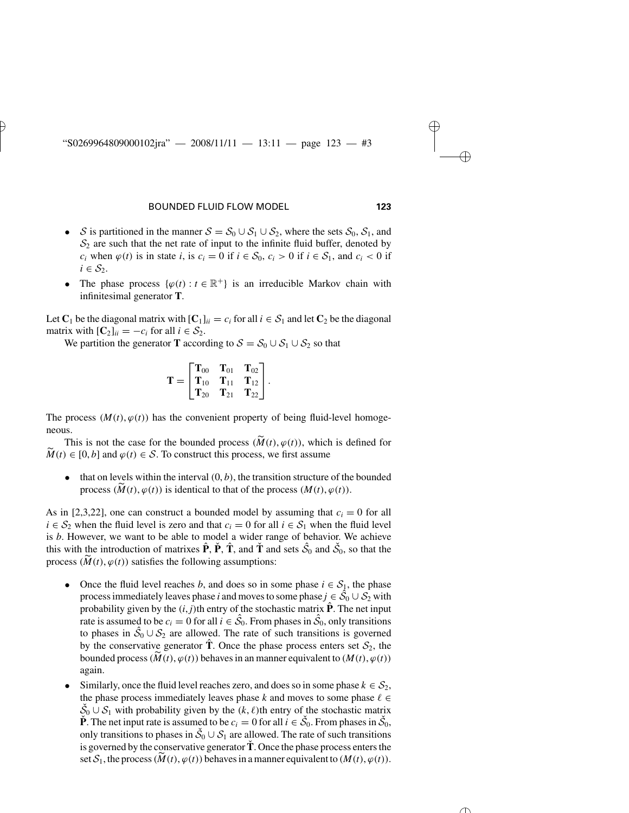- S is partitioned in the manner  $S = S_0 \cup S_1 \cup S_2$ , where the sets  $S_0$ ,  $S_1$ , and  $S_2$  are such that the net rate of input to the infinite fluid buffer, denoted by *c<sub>i</sub>* when  $\varphi(t)$  is in state *i*, is  $c_i = 0$  if  $i \in S_0$ ,  $c_i > 0$  if  $i \in S_1$ , and  $c_i < 0$  if  $i \in S_2$ .
- The phase process  $\{\varphi(t): t \in \mathbb{R}^+\}$  is an irreducible Markov chain with infinitesimal generator **T**.

Let  $C_1$  be the diagonal matrix with  $[C_1]_{ii} = c_i$  for all  $i \in S_1$  and let  $C_2$  be the diagonal matrix with  $[\mathbf{C}_2]_{ii} = -c_i$  for all  $i \in \mathcal{S}_2$ .

We partition the generator **T** according to  $S = S_0 \cup S_1 \cup S_2$  so that

$$
\mathbf{T} = \begin{bmatrix} \mathbf{T}_{00} & \mathbf{T}_{01} & \mathbf{T}_{02} \\ \mathbf{T}_{10} & \mathbf{T}_{11} & \mathbf{T}_{12} \\ \mathbf{T}_{20} & \mathbf{T}_{21} & \mathbf{T}_{22} \end{bmatrix}.
$$

The process  $(M(t), \varphi(t))$  has the convenient property of being fluid-level homogeneous. process  $(M(t), \varphi(t))$  has the convenient property of being fluid-level homogess.<br>This is not the case for the bounded process  $(\widetilde{M}(t), \varphi(t))$ , which is defined for *M*(*t*),  $\varphi(t)$  has the convenient property of being fluidneous.<br>This is not the case for the bounded process ( $\widetilde{M}(t), \varphi(t)$ ), which  $\widetilde{M}(t) \in [0, b]$  and  $\varphi(t) \in S$ . To construct this process, we first assume

 $\bullet$  that on levels within the interval  $(0, b)$ , the transition structure of the bounded *M*(*t*) ∈ [0, *b*] and  $\varphi$ (*t*) ∈ *S*. To construct this process, we first assume<br>
• that on levels within the interval (0, *b*), the transition structure of the process  $(\widetilde{M}(t), \varphi(t))$  is identical to that of the pr

As in [2,3,22], one can construct a bounded model by assuming that  $c_i = 0$  for all *i* ∈  $S_2$  when the fluid level is zero and that  $c_i = 0$  for all  $i \in S_1$  when the fluid level is *b*. However, we want to be able to model a wider range of behavior. We achieve this with the introduction of matrixes  $\hat{\mathbf{P}}$ ,  $\hat{\mathbf{P}}$ ,  $\hat{\mathbf{T}}$ , and  $\check{\mathbf{T}}$  and sets  $\hat{\mathcal{S}}_0$  and  $\check{\mathcal{S}}_0$ , so that the  $i \in S_2$  when the fluid level is zero and that  $c_i = 0$  for all<br>is *b*. However, we want to be able to model a wider rar<br>this with the introduction of matrixes  $\hat{P}$ ,  $\hat{P}$ ,  $\hat{T}$ , and  $\hat{T}$  and<br>process ( $\widetilde{M}(t), \var$ 

- Once the fluid level reaches *b*, and does so in some phase  $i \in S_1$ , the phase process immediately leaves phase *i* and moves to some phase  $j \in \hat{S}_0 \cup S_2$  with probability given by the  $(i, j)$ <sup>th</sup> entry of the stochastic matrix  $\hat{P}$ . The net input rate is assumed to be  $c_i = 0$  for all  $i \in \hat{S}_0$ . From phases in  $\hat{S}_0$ , only transitions<br>to phases in  $\hat{S}_0 \cup S_2$  are allowed. The rate of such transitions is governed<br>by the conservative generator  $\hat{\mathbf{T}}$ . Once t to phases in  $\hat{S}_0 \cup S_2$  are allowed. The rate of such transitions is governed by the conservative generator **T**. Once the phase process enters set  $S_2$ , the bounded process  $(\widetilde{M}(t), \varphi(t))$  behaves in an manner equivalent to  $(M(t), \varphi(t))$ again.
- Similarly, once the fluid level reaches zero, and does so in some phase  $k \in S_2$ , the phase process immediately leaves phase  $k$  and moves to some phase  $\ell \in$  $\check{S}_0 \cup S_1$  with probability given by the  $(k, \ell)$ th entry of the stochastic matrix **P**. The net input rate is assumed to be  $c_i = 0$  for all  $i \in \check{S}_0$ . From phases in  $\check{S}_0$ , only transitions to phases in  $\check{S}_0 \cup S_1$  are allowed. The rate of such transitions is governed by the conservative generato only transitions to phases in  $\check{S}_0 \cup S_1$  are allowed. The rate of such transitions is governed by the conservative generator**T**ˇ . Once the phase process enters the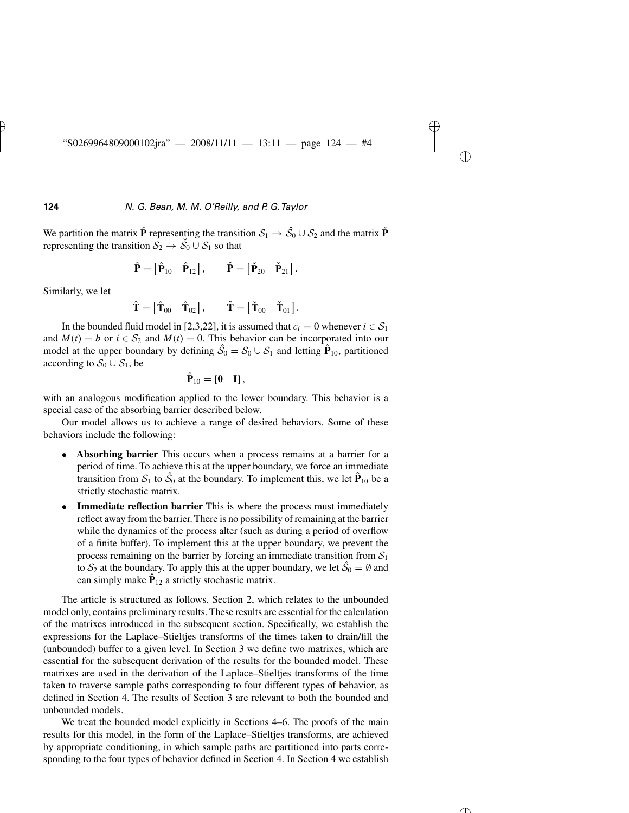We partition the matrix  $\hat{\mathbf{P}}$  representing the transition  $S_1 \rightarrow \hat{S}_0 \cup S_2$  and the matrix  $\check{\mathbf{P}}$ <br>representing the transition  $S_2 \rightarrow \check{S}_0 \cup S_1$  so that<br> $\hat{\mathbf{P}} = [\hat{\mathbf{P}}_{10} \quad \hat{\mathbf{P}}_{12}]$ ,  $\check{\mathbf{P}} = [\check{\mathbf{P}}_{$ representing the transition  $\mathcal{S}_2 \to \mathcal{S}_0 \cup \mathcal{S}_1$  so that

$$
\hat{\mathbf{P}} = [\hat{\mathbf{P}}_{10} \quad \hat{\mathbf{P}}_{12}], \qquad \check{\mathbf{P}} = [\check{\mathbf{P}}_{20} \quad \check{\mathbf{P}}_{21}].
$$
  

$$
\hat{\mathbf{T}} = [\hat{\mathbf{T}}_{00} \quad \hat{\mathbf{T}}_{02}], \qquad \check{\mathbf{T}} = [\check{\mathbf{T}}_{00} \quad \check{\mathbf{T}}_{01}].
$$

Similarly, we let

$$
\hat{\mathbf{T}} = [\hat{\mathbf{T}}_{00} \quad \hat{\mathbf{T}}_{02}], \qquad \check{\mathbf{T}} = [\check{\mathbf{T}}_{00} \quad \check{\mathbf{T}}_{01}].
$$

In the bounded fluid model in [2,3,22], it is assumed that  $c_i = 0$  whenever  $i \in S_1$ and  $M(t) = b$  or  $i \in S_2$  and  $M(t) = 0$ . This behavior can be incorporated into our model at the upper boundary by defining  $\hat{S}_0 = S_0 \cup S_1$  and letting  $\hat{P}_{10}$ , partitioned according to  $S_0 \cup S_1$ , be

$$
\hat{\mathbf{P}}_{10} = \begin{bmatrix} 0 & I \end{bmatrix},
$$

with an analogous modification applied to the lower boundary. This behavior is a special case of the absorbing barrier described below.

Our model allows us to achieve a range of desired behaviors. Some of these behaviors include the following:

- **Absorbing barrier** This occurs when a process remains at a barrier for a period of time. To achieve this at the upper boundary, we force an immediate transition from  $S_1$  to  $\hat{S}_0$  at the boundary. To implement this, we let  $\hat{P}_{10}$  be a strictly stochastic matrix.
- **Immediate reflection barrier** This is where the process must immediately reflect away from the barrier. There is no possibility of remaining at the barrier while the dynamics of the process alter (such as during a period of overflow of a finite buffer). To implement this at the upper boundary, we prevent the process remaining on the barrier by forcing an immediate transition from  $S_1$ to  $S_2$  at the boundary. To apply this at the upper boundary, we let  $\hat{S}_0 = \emptyset$  and can simply make  $\hat{\mathbf{P}}_{12}$  a strictly stochastic matrix.

The article is structured as follows. Section 2, which relates to the unbounded model only, contains preliminary results. These results are essential for the calculation of the matrixes introduced in the subsequent section. Specifically, we establish the expressions for the Laplace–Stieltjes transforms of the times taken to drain/fill the (unbounded) buffer to a given level. In Section 3 we define two matrixes, which are essential for the subsequent derivation of the results for the bounded model. These matrixes are used in the derivation of the Laplace–Stieltjes transforms of the time taken to traverse sample paths corresponding to four different types of behavior, as defined in Section 4. The results of Section 3 are relevant to both the bounded and unbounded models.

We treat the bounded model explicitly in Sections 4–6. The proofs of the main results for this model, in the form of the Laplace–Stieltjes transforms, are achieved by appropriate conditioning, in which sample paths are partitioned into parts corresponding to the four types of behavior defined in Section 4. In Section 4 we establish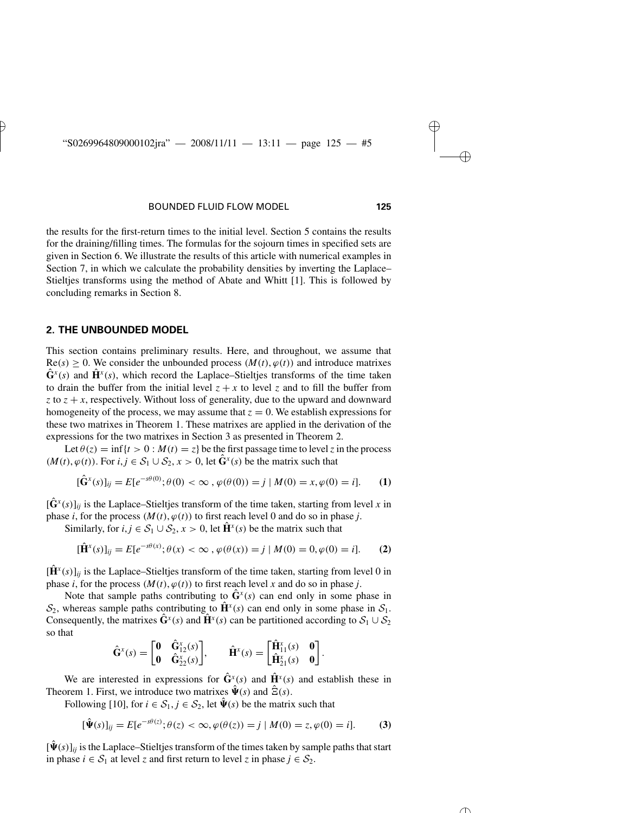the results for the first-return times to the initial level. Section 5 contains the results for the draining/filling times. The formulas for the sojourn times in specified sets are given in Section 6. We illustrate the results of this article with numerical examples in Section 7, in which we calculate the probability densities by inverting the Laplace– Stieltjes transforms using the method of Abate and Whitt [1]. This is followed by concluding remarks in Section 8.

### **2. THE UNBOUNDED MODEL**

This section contains preliminary results. Here, and throughout, we assume that  $\text{Re}(s) \geq 0$ . We consider the unbounded process  $(M(t), \varphi(t))$  and introduce matrixes  $\hat{\mathbf{G}}^{x}(s)$  and  $\hat{\mathbf{H}}^{x}(s)$ , which record the Laplace–Stieltjes transforms of the time taken to drain the buffer from the initial level  $z + x$  to level z and to fill the buffer from  $z$  to  $z + x$ , respectively. Without loss of generality, due to the upward and downward homogeneity of the process, we may assume that  $z = 0$ . We establish expressions for these two matrixes in Theorem 1. These matrixes are applied in the derivation of the expressions for the two matrixes in Section 3 as presented in Theorem 2.

Let  $\theta(z) = \inf\{t > 0 : M(t) = z\}$  be the first passage time to level *z* in the process  $(M(t), \varphi(t))$ . For  $i, j \in S_1 \cup S_2$ ,  $x > 0$ , let  $\hat{G}^x(s)$  be the matrix such that

$$
[\hat{\mathbf{G}}^{x}(s)]_{ij} = E[e^{-s\theta(0)}; \theta(0) < \infty, \varphi(\theta(0)) = j \mid M(0) = x, \varphi(0) = i]. \tag{1}
$$

 $[\hat{\mathbf{G}}^{x}(s)]_{ii}$  is the Laplace–Stieltjes transform of the time taken, starting from level *x* in phase *i*, for the process  $(M(t), \varphi(t))$  to first reach level 0 and do so in phase *j*.

Similarly, for  $i, j \in S_1 \cup S_2$ ,  $x > 0$ , let  $\mathbf{H}^x(s)$  be the matrix such that

$$
[\hat{\mathbf{H}}^{x}(s)]_{ij} = E[e^{-s\theta(x)}; \theta(x) < \infty, \varphi(\theta(x)) = j \mid M(0) = 0, \varphi(0) = i]. \tag{2}
$$

 $[\hat{H}^{x}(s)]_{ii}$  is the Laplace–Stieltjes transform of the time taken, starting from level 0 in phase *i*, for the process  $(M(t), \varphi(t))$  to first reach level *x* and do so in phase *j*.

Note that sample paths contributing to  $\hat{G}^x(s)$  can end only in some phase in  $S_2$ , whereas sample paths contributing to  $\hat{\mathbf{H}}^x(s)$  can end only in some phase in  $S_1$ . Consequently, the matrixes  $\hat{\mathbf{G}}^{x}(s)$  and  $\hat{\mathbf{H}}^{x}(s)$  can be partitioned according to  $S_1 \cup S_2$ so that

$$
\hat{\mathbf{G}}^{x}(s) = \begin{bmatrix} \mathbf{0} & \hat{\mathbf{G}}^{x}_{12}(s) \\ \mathbf{0} & \hat{\mathbf{G}}^{x}_{22}(s) \end{bmatrix}, \qquad \hat{\mathbf{H}}^{x}(s) = \begin{bmatrix} \hat{\mathbf{H}}^{x}_{11}(s) & \mathbf{0} \\ \hat{\mathbf{H}}^{x}_{21}(s) & \mathbf{0} \end{bmatrix}.
$$

We are interested in expressions for  $\hat{\mathbf{G}}^{x}(s)$  and  $\hat{\mathbf{H}}^{x}(s)$  and establish these in Theorem 1. First, we introduce two matrixes  $\hat{\Psi}(s)$  and  $\hat{\Xi}(s)$ .

Following [10], for  $i \in S_1, j \in S_2$ , let  $\hat{\Psi}(s)$  be the matrix such that

$$
[\hat{\Psi}(s)]_{ij} = E[e^{-s\theta(z)}; \theta(z) < \infty, \varphi(\theta(z)) = j \mid M(0) = z, \varphi(0) = i]. \tag{3}
$$

 $[\hat{\Psi}(s)]_{ij}$  is the Laplace–Stieltjes transform of the times taken by sample paths that start in phase *i* ∈  $S_1$  at level *z* and first return to level *z* in phase *j* ∈  $S_2$ .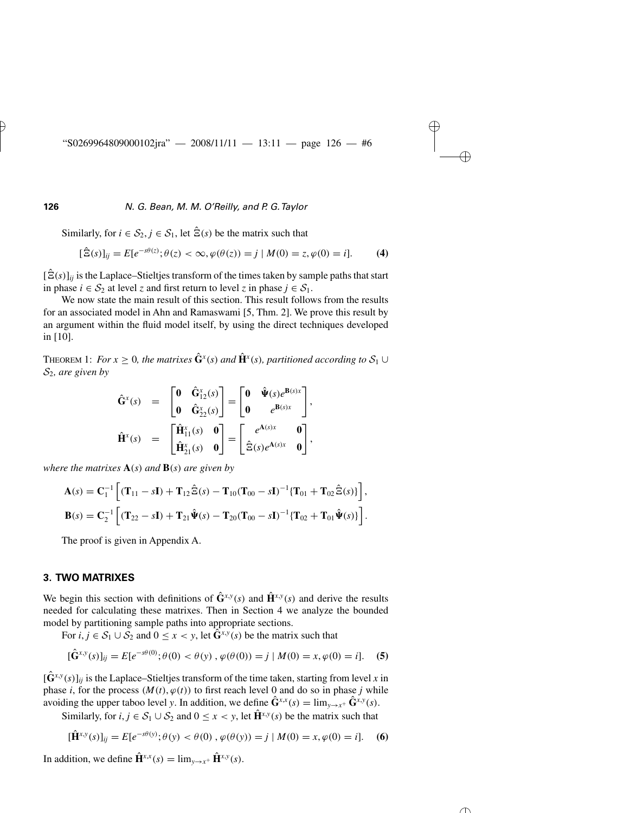Similarly, for  $i \in S_2$ ,  $j \in S_1$ , let  $\hat{\Xi}(s)$  be the matrix such that

$$
[\hat{\Xi}(s)]_{ij} = E[e^{-s\theta(z)}; \theta(z) < \infty, \varphi(\theta(z)) = j \mid M(0) = z, \varphi(0) = i]. \tag{4}
$$

 $[\hat{E}(s)]_{ii}$  is the Laplace–Stieltjes transform of the times taken by sample paths that start in phase *i* ∈  $S_2$  at level *z* and first return to level *z* in phase *j* ∈  $S_1$ .

We now state the main result of this section. This result follows from the results for an associated model in Ahn and Ramaswami [5, Thm. 2]. We prove this result by an argument within the fluid model itself, by using the direct techniques developed in [10].

THEOREM 1: *For*  $x \geq 0$ *, the matrixes*  $\hat{\mathbf{G}}^x(s)$  *and*  $\hat{\mathbf{H}}^x(s)$ *, partitioned according to*  $S_1 \cup$ S2*, are given by*

$$
\hat{\mathbf{G}}^{x}(s) = \begin{bmatrix} \mathbf{0} & \hat{\mathbf{G}}^{x}_{12}(s) \\ \mathbf{0} & \hat{\mathbf{G}}^{x}_{22}(s) \end{bmatrix} = \begin{bmatrix} \mathbf{0} & \hat{\Psi}(s)e^{\mathbf{B}(s)x} \\ \mathbf{0} & e^{\mathbf{B}(s)x} \end{bmatrix},
$$

$$
\hat{\mathbf{H}}^{x}(s) = \begin{bmatrix} \hat{\mathbf{H}}^{x}_{11}(s) & \mathbf{0} \\ \hat{\mathbf{H}}^{x}_{21}(s) & \mathbf{0} \end{bmatrix} = \begin{bmatrix} e^{\mathbf{A}(s)x} & \mathbf{0} \\ \hat{\Xi}(s)e^{\mathbf{A}(s)x} & \mathbf{0} \end{bmatrix},
$$

*where the matrixes* **A***(s) and* **B***(s) are given by*

$$
\mathbf{A}(s) = \mathbf{C}_1^{-1} \left[ (\mathbf{T}_{11} - s\mathbf{I}) + \mathbf{T}_{12} \hat{\mathbf{\Xi}}(s) - \mathbf{T}_{10} (\mathbf{T}_{00} - s\mathbf{I})^{-1} \{ \mathbf{T}_{01} + \mathbf{T}_{02} \hat{\mathbf{\Xi}}(s) \} \right],
$$
  
\n
$$
\mathbf{B}(s) = \mathbf{C}_2^{-1} \left[ (\mathbf{T}_{22} - s\mathbf{I}) + \mathbf{T}_{21} \hat{\mathbf{\Psi}}(s) - \mathbf{T}_{20} (\mathbf{T}_{00} - s\mathbf{I})^{-1} \{ \mathbf{T}_{02} + \mathbf{T}_{01} \hat{\mathbf{\Psi}}(s) \} \right].
$$

The proof is given in Appendix A.

#### **3. TWO MATRIXES**

We begin this section with definitions of  $\hat{\mathbf{G}}^{x,y}(s)$  and  $\hat{\mathbf{H}}^{x,y}(s)$  and derive the results needed for calculating these matrixes. Then in Section 4 we analyze the bounded model by partitioning sample paths into appropriate sections.

For  $i, j \in S_1 \cup S_2$  and  $0 \le x < y$ , let  $\hat{G}^{x,y}(s)$  be the matrix such that

$$
[\hat{\mathbf{G}}^{x,y}(s)]_{ij} = E[e^{-s\theta(0)}; \theta(0) < \theta(y), \varphi(\theta(0)) = j \mid M(0) = x, \varphi(0) = i]. \tag{5}
$$

 $[\hat{\mathbf{G}}^{x,y}(s)]_{ii}$  is the Laplace–Stieltjes transform of the time taken, starting from level *x* in phase *i*, for the process  $(M(t), \varphi(t))$  to first reach level 0 and do so in phase *j* while avoiding the upper taboo level *y*. In addition, we define  $\hat{G}^{x,x}(s) = \lim_{y \to x^+} \hat{G}^{x,y}(s)$ .

Similarly, for  $i, j \in S_1 \cup S_2$  and  $0 \le x < y$ , let  $\hat{H}^{x,y}(s)$  be the matrix such that

$$
[\hat{\mathbf{H}}^{x,y}(s)]_{ij} = E[e^{-s\theta(y)}; \theta(y) < \theta(0), \varphi(\theta(y)) = j \mid M(0) = x, \varphi(0) = i]. \tag{6}
$$

In addition, we define  $\hat{\mathbf{H}}^{x,x}(s) = \lim_{y \to x^+} \hat{\mathbf{H}}^{x,y}(s)$ .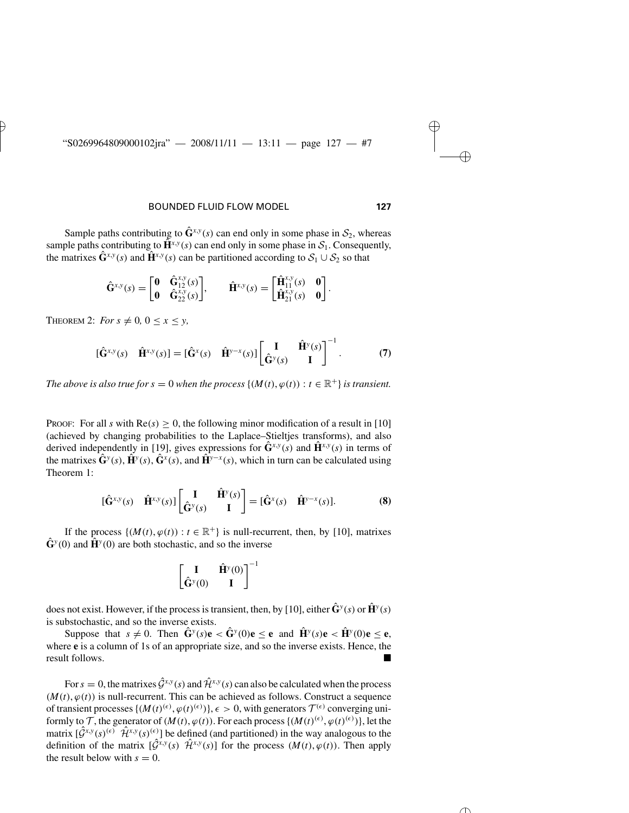Sample paths contributing to  $\hat{\mathbf{G}}^{x,y}(s)$  can end only in some phase in  $\mathcal{S}_2$ , whereas sample paths contributing to  $\hat{H}^{x,y}(s)$  can end only in some phase in  $S_1$ . Consequently, the matrixes  $\hat{G}^{x,y}(s)$  and  $\hat{H}^{x,y}(s)$  can be partitioned according to  $S_1 \cup S_2$  so that

$$
\hat{\mathbf{G}}^{x,y}(s) = \begin{bmatrix} \mathbf{0} & \hat{\mathbf{G}}_{12}^{x,y}(s) \\ \mathbf{0} & \hat{\mathbf{G}}_{22}^{x,y}(s) \end{bmatrix}, \qquad \hat{\mathbf{H}}^{x,y}(s) = \begin{bmatrix} \hat{\mathbf{H}}_{11}^{x,y}(s) & \mathbf{0} \\ \hat{\mathbf{H}}_{21}^{x,y}(s) & \mathbf{0} \end{bmatrix}.
$$

THEOREM 2: *For*  $s \neq 0$ ,  $0 \leq x \leq y$ ,

$$
[\hat{\mathbf{G}}^{x,y}(s) \quad \hat{\mathbf{H}}^{x,y}(s)] = [\hat{\mathbf{G}}^{x}(s) \quad \hat{\mathbf{H}}^{y-x}(s)] \begin{bmatrix} \mathbf{I} & \hat{\mathbf{H}}^{y}(s) \\ \hat{\mathbf{G}}^{y}(s) & \mathbf{I} \end{bmatrix}^{-1}.
$$
 (7)

*The above is also true for s* = 0 *when the process* { $(M(t), \varphi(t))$  :  $t \in \mathbb{R}^+$ } *is transient.* 

PROOF: For all *s* with  $\text{Re}(s) > 0$ , the following minor modification of a result in [10] (achieved by changing probabilities to the Laplace–Stieltjes transforms), and also derived independently in [19], gives expressions for  $\hat{\mathbf{G}}^{x,y}(s)$  and  $\hat{\mathbf{H}}^{x,y}(s)$  in terms of the matrixes  $\hat{\mathbf{G}}^{y}(s)$ ,  $\hat{\mathbf{H}}^{y}(s)$ ,  $\hat{\mathbf{G}}^{x}(s)$ , and  $\hat{\mathbf{H}}^{y-x}(s)$ , which in turn can be calculated using Theorem 1:

$$
[\hat{\mathbf{G}}^{x,y}(s) \quad \hat{\mathbf{H}}^{x,y}(s)] \begin{bmatrix} \mathbf{I} & \hat{\mathbf{H}}^{y}(s) \\ \hat{\mathbf{G}}^{y}(s) & \mathbf{I} \end{bmatrix} = [\hat{\mathbf{G}}^{x}(s) \quad \hat{\mathbf{H}}^{y-x}(s)]. \tag{8}
$$

If the process  $\{(M(t), \varphi(t)) : t \in \mathbb{R}^+\}$  is null-recurrent, then, by [10], matrixes  $\hat{\mathbf{G}}^{y}(0)$  and  $\hat{\mathbf{H}}^{y}(0)$  are both stochastic, and so the inverse

$$
\begin{bmatrix} \mathbf{I} & \hat{\mathbf{H}}^y(0) \\ \hat{\mathbf{G}}^y(0) & \mathbf{I} \end{bmatrix}^{-1}
$$

does not exist. However, if the process is transient, then, by [10], either  $\hat{\mathbf{G}}^y(s)$  or  $\hat{\mathbf{H}}^y(s)$ is substochastic, and so the inverse exists.

Suppose that  $s \neq 0$ . Then  $\hat{\mathbf{G}}^y(s)\mathbf{e} < \hat{\mathbf{G}}^y(0)\mathbf{e} \leq \mathbf{e}$  and  $\hat{\mathbf{H}}^y(s)\mathbf{e} < \hat{\mathbf{H}}^y(0)\mathbf{e} \leq \mathbf{e}$ , where **e** is a column of 1s of an appropriate size, and so the inverse exists. Hence, the result follows.

For  $s = 0$ , the matrixes  $\hat{G}^{x,y}(s)$  and  $\hat{\mathcal{H}}^{x,y}(s)$  can also be calculated when the process  $(M(t), \varphi(t))$  is null-recurrent. This can be achieved as follows. Construct a sequence of transient processes  $\{(M(t)^{(\epsilon)}, \varphi(t)^{(\epsilon)})\}, \epsilon > 0$ , with generators  $\mathcal{T}^{(\epsilon)}$  converging uniformly to  $\mathcal{T}$ , the generator of  $(M(t), \varphi(t))$ . For each process  $\{(M(t)^{(\epsilon)}, \varphi(t)^{(\epsilon)})\}$ , let the matrix  $[\hat{G}^{x,y}(s)^{(\epsilon)}]$   $\hat{\mathcal{H}}^{x,y}(s)^{(\epsilon)}$  be defined (and partitioned) in the way analogous to the definition of the matrix  $[\hat{G}^{x,y}(s) \hat{\mathcal{H}}^{x,y}(s)]$  for the process  $(M(t), \varphi(t))$ . Then apply the result below with  $s = 0$ .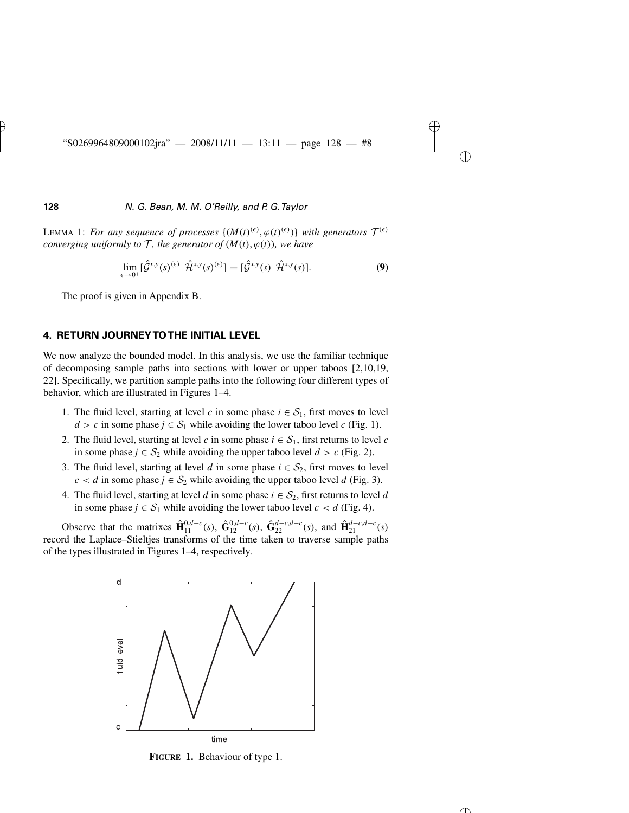LEMMA 1: For any sequence of processes  $\{(M(t)^{(\epsilon)}, \varphi(t)^{(\epsilon)})\}$  with generators  $\mathcal{T}^{(\epsilon)}$ *converging uniformly to*  $\mathcal{T}$ *, the generator of*  $(M(t), \varphi(t))$ *, we have* 

$$
\lim_{\epsilon \to 0^+} [\hat{\mathcal{G}}^{x,y}(s)^{(\epsilon)} \ \hat{\mathcal{H}}^{x,y}(s)^{(\epsilon)}] = [\hat{\mathcal{G}}^{x,y}(s) \ \hat{\mathcal{H}}^{x,y}(s)]. \tag{9}
$$

The proof is given in Appendix B.

### **4. RETURN JOURNEY TO THE INITIAL LEVEL**

We now analyze the bounded model. In this analysis, we use the familiar technique of decomposing sample paths into sections with lower or upper taboos [2,10,19, 22]. Specifically, we partition sample paths into the following four different types of behavior, which are illustrated in Figures 1–4.

- 1. The fluid level, starting at level *c* in some phase  $i \in S_1$ , first moves to level *d* > *c* in some phase *j*  $\in$  *S*<sub>1</sub> while avoiding the lower taboo level *c* (Fig. 1).
- 2. The fluid level, starting at level *c* in some phase  $i \in S_1$ , first returns to level *c* in some phase *j* ∈  $S_2$  while avoiding the upper taboo level *d* > *c* (Fig. 2).
- 3. The fluid level, starting at level *d* in some phase  $i \in S_2$ , first moves to level *c* < *d* in some phase *j* ∈  $S_2$  while avoiding the upper taboo level *d* (Fig. 3).
- 4. The fluid level, starting at level *d* in some phase  $i \in S_2$ , first returns to level *d* in some phase *j* ∈  $S_1$  while avoiding the lower taboo level *c* < *d* (Fig. 4).

Observe that the matrixes  $\hat{\mathbf{H}}_{11}^{0,d-c}(s)$ ,  $\hat{\mathbf{G}}_{12}^{0,d-c}(s)$ ,  $\hat{\mathbf{G}}_{22}^{d-c,d-c}(s)$ , and  $\hat{\mathbf{H}}_{21}^{d-c,d-c}(s)$ record the Laplace–Stieltjes transforms of the time taken to traverse sample paths of the types illustrated in Figures 1–4, respectively.



**FIGURE 1.** Behaviour of type 1.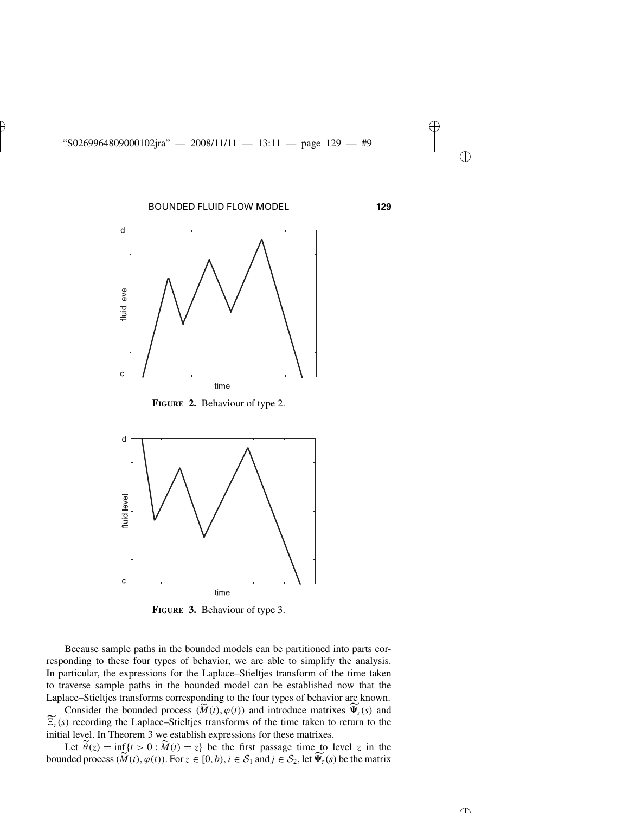

**FIGURE 2.** Behaviour of type 2.



**FIGURE 3.** Behaviour of type 3.

Because sample paths in the bounded models can be partitioned into parts corresponding to these four types of behavior, we are able to simplify the analysis. In particular, the expressions for the Laplace–Stieltjes transform of the time taken<br>to traverse sample paths in the bounded model can be established now that the<br>Laplace–Stieltjes transforms corresponding to the four typ to traverse sample paths in the bounded model can be established now that the Laplace–Stieltjes transforms corresponding to the four types of behavior are known.

 $\Psi_z(s)$  and  $\widetilde{z_z}(s)$  recording the Laplace–Stieltjes transforms of the time taken to return to the initial level. In Theorem 3 we establish expressions for these matrixes.  $\widetilde{E}_z(s)$  recording the Laplace-Stieltjes transforms of the time taken to return to the initial level. In Theorem 3 we establish expressions for these matrixes.<br>Let  $\widetilde{\theta}(z) = \inf\{t > 0 : \widetilde{M}(t) = z\}$  be the first passa

Let  $\tilde{\theta}(z) = \inf\{t > 0 : \tilde{M}(t) = z\}$  be the first passage time to level *z* in the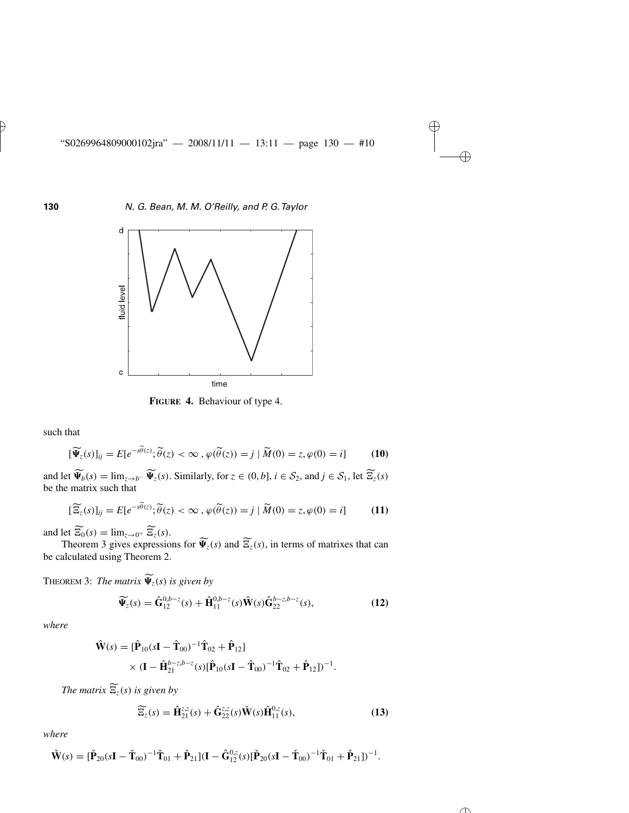

**FIGURE 4.** Behaviour of type 4.

such that

hat  
\n
$$
[\widetilde{\Psi}_z(s)]_{ij} = E[e^{-s\widetilde{\theta}(z)}; \widetilde{\theta}(z) < \infty, \varphi(\widetilde{\theta}(z)) = j \mid \widetilde{M}(0) = z, \varphi(0) = i]
$$
\n(10)

and let  $\widetilde{\Psi}_b(s) = \lim_{z \to b^-} \widetilde{\Psi}_z(s)$ . Similarly, for  $z \in (0, b]$ ,  $i \in S_2$ , and  $j \in S_1$ , let  $\widetilde{\Xi}_z(s)$ <br>be the matrix such that<br> $[\widetilde{\Xi}_z(s)]_{ij} = E[e^{-s\widetilde{\theta}(z)}; \widetilde{\theta}(z) < \infty, \varphi(\widetilde{\theta}(z)) = j | \widetilde{M}(0) = z, \varphi(0) = i]$  (11)  $\Phi_b(s) = \lim_{z \to b^-} \Psi_b$ <br>be the matrix such that<br> $\left[\frac{\widetilde{\mathbf{z}}_z(s)}{\mathbf{z}_z(s)}\right]_{ij} = E[e^{-s\widetilde{\theta}(z)}]$ nai

$$
[\widetilde{\Xi_z}(s)]_{ij} = E[e^{-s\widetilde{\theta}(z)}; \widetilde{\theta}(z) < \infty, \varphi(\widetilde{\theta}(z)) = j \mid \widetilde{M}(0) = z, \varphi(0) = i]
$$
(11)

and let  $\overline{\Xi_0}(s) = \lim_{z \to 0^+} \overline{\Xi}_z(s)$ .

Theorem 3 gives expressions for  $\widetilde{\Psi}_z(s)$  and  $\widetilde{\Xi}_z(s)$ , in terms of matrixes that can be calculated using Theorem 2.

**THEOREM 3:** The matrix  $\Psi_z(s)$  is given by

$$
\widetilde{\Psi}_z(s) = \widehat{\mathbf{G}}_{12}^{0,b-z}(s) + \widehat{\mathbf{H}}_{11}^{0,b-z}(s)\widehat{\mathbf{W}}(s)\widehat{\mathbf{G}}_{22}^{b-z,b-z}(s),\tag{12}
$$

*where*

$$
\hat{\mathbf{W}}(s) = [\hat{\mathbf{P}}_{10}(s\mathbf{I} - \hat{\mathbf{T}}_{00})^{-1}\hat{\mathbf{T}}_{02} + \hat{\mathbf{P}}_{12}] \times (\mathbf{I} - \hat{\mathbf{H}}_{21}^{b-z,b-z}(s)[\hat{\mathbf{P}}_{10}(s\mathbf{I} - \hat{\mathbf{T}}_{00})^{-1}\hat{\mathbf{T}}_{02} + \hat{\mathbf{P}}_{12}])^{-1}.
$$

*The matrix*  $\Xi_z(s)$  *is given by* 

$$
\widetilde{\mathbf{E}}_z(s) = \hat{\mathbf{H}}_{21}^{z,z}(s) + \hat{\mathbf{G}}_{22}^{z,z}(s)\check{\mathbf{W}}(s)\hat{\mathbf{H}}_{11}^{0,z}(s),
$$
\n(13)

*where*

$$
\check{\mathbf{W}}(s) = [\check{\mathbf{P}}_{20}(s\mathbf{I} - \check{\mathbf{T}}_{00})^{-1}\check{\mathbf{T}}_{01} + \check{\mathbf{P}}_{21}](\mathbf{I} - \hat{\mathbf{G}}_{12}^{0,z}(s)[\check{\mathbf{P}}_{20}(s\mathbf{I} - \check{\mathbf{T}}_{00})^{-1}\check{\mathbf{T}}_{01} + \check{\mathbf{P}}_{21}])^{-1}.
$$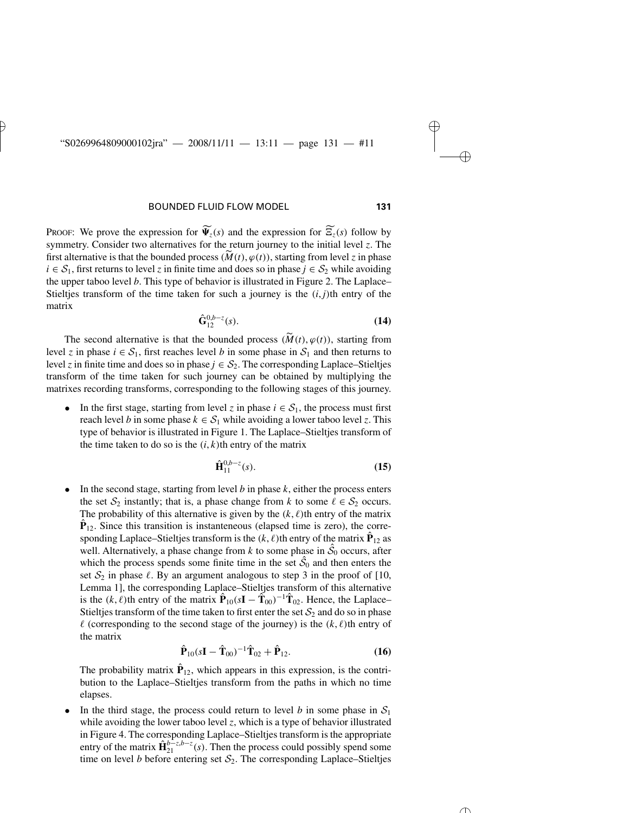PROOF: We prove the expression for  $\Psi_z(s)$  and the expression for  $\Xi_z(s)$  follow by symmetry. Consider two alternatives for the return journey to the initial level *z*. The first alternative is that the bounded process  $(\widetilde{M}(t), \varphi(t))$ , starting from level *z* in phase FROOF: We prove the expression for  $\widetilde{\Psi}_z(s)$  and the expression for  $\widetilde{\Xi}_z(s)$  follow by symmetry. Consider two alternatives for the return journey to the initial level *z*. The first alternative is that the bounded  $i \in S_1$ , first returns to level *z* in finite time and does so in phase  $j \in S_2$  while avoiding the upper taboo level *b*. This type of behavior is illustrated in Figure 2. The Laplace– Stieltjes transform of the time taken for such a journey is the  $(i, j)$ <sup>th</sup> entry of the matrix

$$
\hat{\mathbf{G}}_{12}^{0,b-z}(s). \tag{14}
$$

The second alternative is that the bounded process  $(\widetilde{M}(t), \varphi(t))$ , starting from level *z* in phase  $i \in S_1$ , first reaches level *b* in some phase in  $S_1$  and then returns to level *z* in finite time and does so in phase  $j \in S_2$ . The corresponding Laplace–Stieltjes transform of the time taken for such journey can be obtained by multiplying the matrixes recording transforms, corresponding to the following stages of this journey.

In the first stage, starting from level *z* in phase  $i \in S_1$ , the process must first reach level *b* in some phase  $k \in S_1$  while avoiding a lower taboo level *z*. This type of behavior is illustrated in Figure 1. The Laplace–Stieltjes transform of the time taken to do so is the  $(i, k)$ th entry of the matrix

$$
\hat{\mathbf{H}}_{11}^{0,b-z}(s). \tag{15}
$$

• In the second stage, starting from level  $b$  in phase  $k$ , either the process enters the set  $S_2$  instantly; that is, a phase change from *k* to some  $\ell \in S_2$  occurs. The probability of this alternative is given by the  $(k, \ell)$ th entry of the matrix  $\mathbf{P}_{12}$ . Since this transition is instanteneous (elapsed time is zero), the corresponding Laplace–Stieltjes transform is the  $(k, \ell)$ th entry of the matrix  $\hat{\mathbf{P}}_{12}$  as well. Alternatively, a phase change from *k* to some phase in  $\hat{S}_0$  occurs, after which the process spends some finite time in the set  $\hat{S}_0$  and then enters the set  $S_2$  in phase  $\ell$ . By an argument analogous to step 3 in the proof of [10, Lemma 1], the corresponding Laplace–Stieltjes transform of this alternative is the  $(k, \ell)$ th entry of the matrix  $\hat{\mathbf{P}}_{10}(s\mathbf{I} - \hat{\mathbf{T}}_{00})^{-1} \hat{\mathbf{T}}_{02}$ . Hence, the Laplace– Stieltjes transform of the time taken to first enter the set  $S_2$  and do so in phase  $\ell$  (corresponding to the second stage of the journey) is the  $(k, \ell)$ th entry of the matrix

$$
\hat{\mathbf{P}}_{10}(s\mathbf{I} - \hat{\mathbf{T}}_{00})^{-1}\hat{\mathbf{T}}_{02} + \hat{\mathbf{P}}_{12}.
$$
 (16)

The probability matrix  $\hat{\mathbf{P}}_{12}$ , which appears in this expression, is the contribution to the Laplace–Stieltjes transform from the paths in which no time elapses.

• In the third stage, the process could return to level *b* in some phase in  $S_1$ while avoiding the lower taboo level *z*, which is a type of behavior illustrated in Figure 4. The corresponding Laplace–Stieltjes transform is the appropriate entry of the matrix  $\hat{\mathbf{H}}_{21}^{b-z,b-z}(s)$ . Then the process could possibly spend some time on level *b* before entering set  $S_2$ . The corresponding Laplace–Stieltjes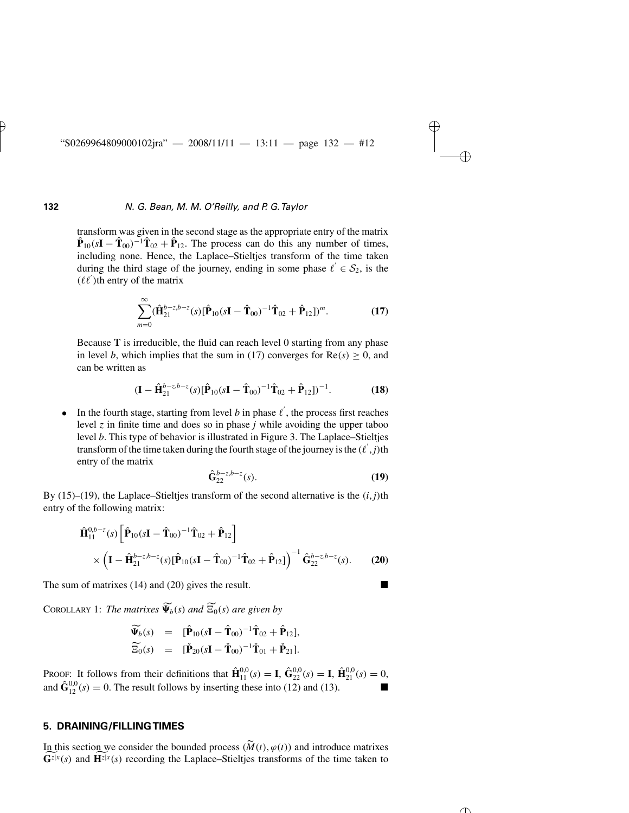transform was given in the second stage as the appropriate entry of the matrix  $\hat{\mathbf{P}}_{10}(s\mathbf{I} - \hat{\mathbf{T}}_{00})^{-1}\hat{\mathbf{T}}_{02} + \hat{\mathbf{P}}_{12}$ . The process can do this any number of times, including none. Hence, the Laplace–Stieltjes transform of the time taken during the third stage of the journey, ending in some phase  $\ell' \in S_2$ , is the  $(\ell \ell')$ th entry of the matrix

$$
\sum_{m=0}^{\infty} (\hat{\mathbf{H}}_{21}^{b-z,b-z}(s) [\hat{\mathbf{P}}_{10}(s\mathbf{I} - \hat{\mathbf{T}}_{00})^{-1} \hat{\mathbf{T}}_{02} + \hat{\mathbf{P}}_{12}])^{m}.
$$
 (17)

Because **T** is irreducible, the fluid can reach level 0 starting from any phase in level *b*, which implies that the sum in (17) converges for  $Re(s) \ge 0$ , and can be written as

$$
(\mathbf{I} - \hat{\mathbf{H}}_{21}^{b-z,b-z}(s)[\hat{\mathbf{P}}_{10}(s\mathbf{I} - \hat{\mathbf{T}}_{00})^{-1}\hat{\mathbf{T}}_{02} + \hat{\mathbf{P}}_{12}])^{-1}.
$$
 (18)

• In the fourth stage, starting from level  $b$  in phase  $l'$ , the process first reaches level *z* in finite time and does so in phase *j* while avoiding the upper taboo level *b*. This type of behavior is illustrated in Figure 3. The Laplace–Stieltjes transform of the time taken during the fourth stage of the journey is the  $(\ell', j)$ th entry of the matrix

$$
\hat{\mathbf{G}}_{22}^{b-z,b-z}(s). \tag{19}
$$

By  $(15)$ – $(19)$ , the Laplace–Stieltjes transform of the second alternative is the  $(i, j)$ <sup>th</sup> entry of the following matrix: **T**<sub>02</sub> +  $\hat{\mathbf{P}}_{12}$   $\hat{\mathbf{P}}_{02}$ 

$$
\hat{\mathbf{H}}_{11}^{0,b-z}(s) \left[ \hat{\mathbf{P}}_{10}(s\mathbf{I} - \hat{\mathbf{T}}_{00})^{-1} \hat{\mathbf{T}}_{02} + \hat{\mathbf{P}}_{12} \right] \times \left( \mathbf{I} - \hat{\mathbf{H}}_{21}^{b-z,b-z}(s) [\hat{\mathbf{P}}_{10}(s\mathbf{I} - \hat{\mathbf{T}}_{00})^{-1} \hat{\mathbf{T}}_{02} + \hat{\mathbf{P}}_{12}] \right)^{-1} \hat{\mathbf{G}}_{22}^{b-z,b-z}(s).
$$
 (20)

The sum of matrixes (14) and (20) gives the result.

COROLLARY 1: *The matrixes*  $\Psi_b(s)$  *and*  $\Xi_0(s)$  *are given by* 

$$
\widetilde{\Psi}_b(s) = [\hat{\mathbf{P}}_{10}(s\mathbf{I} - \hat{\mathbf{T}}_{00})^{-1}\hat{\mathbf{T}}_{02} + \hat{\mathbf{P}}_{12}],
$$
  
\n
$$
\widetilde{\Xi}_0(s) = [\check{\mathbf{P}}_{20}(s\mathbf{I} - \check{\mathbf{T}}_{00})^{-1}\check{\mathbf{T}}_{01} + \check{\mathbf{P}}_{21}].
$$

PROOF: It follows from their definitions that  $\mathbf{\hat{H}}_{11}^{0,0}(s) = \mathbf{I}$ ,  $\mathbf{\hat{G}}_{22}^{0,0}(s) = \mathbf{I}$ ,  $\mathbf{\hat{H}}_{21}^{0,0}(s) = 0$ , and  $\hat{\mathbf{G}}_{12}^{0,0}(s) = 0$ . The result follows by inserting these into (12) and (13).

# **5. DRAINING/FILLING TIMES**

In this section we consider the bounded process  $(\widetilde{M}(t), \varphi(t))$  and introduce matrixes  $\mathbf{G}^{z|x}(s)$  and  $\mathbf{H}^{z|x}(s)$  recording the Laplace–Stieltjes transforms of the time taken to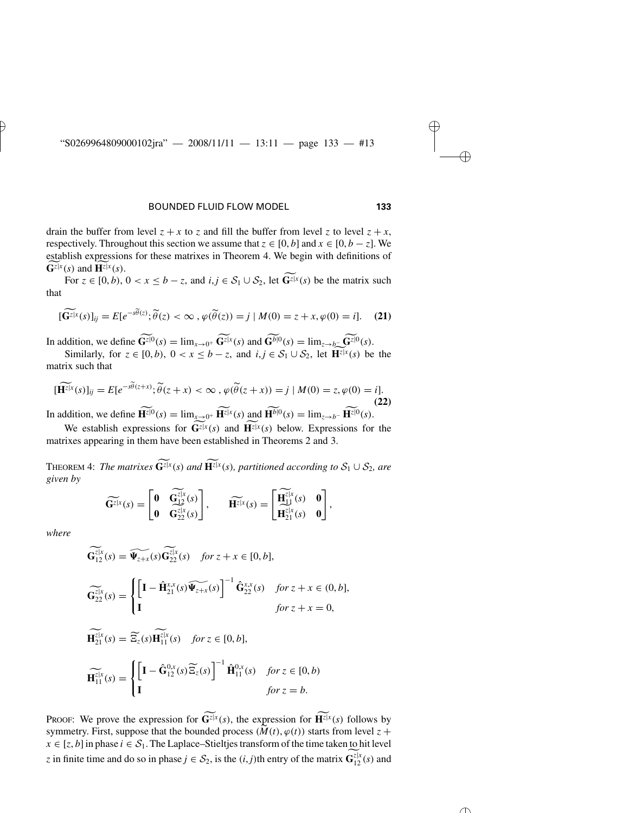drain the buffer from level  $z + x$  to *z* and fill the buffer from level *z* to level  $z + x$ , respectively. Throughout this section we assume that  $z \in [0, b]$  and  $x \in [0, b - z]$ . We establish expressions for these matrixes in Theorem 4. We begin with definitions of  $\mathbf{G}^{z|x}(s)$  and  $\mathbf{H}^{z|x}(s)$ .

For  $z \in [0, b)$ ,  $0 < x \le b - z$ , and  $i, j \in S_1 \cup S_2$ , let  $\widetilde{G^{z|x}}(s)$  be the matrix such<br>  $\widetilde{G^{z|x}}(s)|_{ij} = E[e^{-s\widetilde{\theta}(z)}; \widetilde{\theta}(z) < \infty, \varphi(\widetilde{\theta}(z)) = j | M(0) = z + x, \varphi(0) = i].$  (21) that  $\overline{z}^{[\mathbf{x}}(s)]_{ij} = E[e^{-s\widetilde{\theta}(z)}]$ 

$$
[\widetilde{\mathbf{G}}^{z|x}(s)]_{ij} = E[e^{-s\widetilde{\theta}(z)}; \widetilde{\theta}(z) < \infty \,, \varphi(\widetilde{\theta}(z)) = j \mid M(0) = z + x, \varphi(0) = i]. \tag{21}
$$

In addition, we define  $\bar{\mathbf{G}}^{z|0}(s) = \lim_{x \to 0^+} \bar{\mathbf{G}}^{z|x}(s)$  and  $\bar{\mathbf{G}}^{b|0}(s) = \lim_{z \to b^-} \bar{\mathbf{G}}^{z|0}(s)$ .

Similarly, for  $z \in [0, b)$ ,  $0 < x \le b - z$ , and  $i, j \in S_1 \cup S_2$ , let  $\overline{\mathbf{H}}^{z|x}(s)$  be the<br>trix such that<br> $\overline{\mathbf{H}}^{z|x}(s)]_{ij} = E[e^{-s\widetilde{\theta}(z+x)}; \widetilde{\theta}(z+x) < \infty$ ,  $\varphi(\widetilde{\theta}(z+x)) = j | M(0) = z, \varphi(0) = i].$  $\liminf_{x \to \infty}$ ,  $\lim_{x \to \infty}$   $\lim_{x \to \infty}$   $\lim_{x \to \infty}$   $\lim_{x \to \infty}$   $\lim_{x \to \infty}$   $\lim_{x \to \infty}$   $\lim_{x \to \infty}$   $\lim_{x \to \infty}$   $\lim_{x \to \infty}$   $\lim_{x \to \infty}$   $\lim_{x \to \infty}$   $\lim_{x \to \infty}$   $\lim_{x \to \infty}$   $\lim_{x \to \infty}$   $\lim_{x \to \infty}$   $\lim_{x \to \infty}$ 

$$
[\widetilde{\mathbf{H}^{z[x}}(s)]_{ij} = E[e^{-s\widetilde{\theta}(z+x)}; \widetilde{\theta}(z+x) < \infty, \varphi(\widetilde{\theta}(z+x)) = j \mid M(0) = z, \varphi(0) = i]. \tag{22}
$$

In addition, we define  $\mathbf{H}^{z|0}(s) = \lim_{x \to 0^+} \mathbf{H}^{z|x}(s)$  and  $\mathbf{H}^{b|0}(s) = \lim_{z \to b^-} \mathbf{H}^{z|0}(s)$ .

We establish expressions for  $\widetilde{\mathbf{G}}^{z|x}(s)$  and  $\widetilde{\mathbf{H}}^{z|x}(s)$  below. Expressions for the matrixes appearing in them have been established in Theorems 2 and 3.

**THEOREM 4:** The matrixes  $\widetilde{\mathbf{G}}^{z|x}(s)$  and  $\widetilde{\mathbf{H}}^{z|x}(s)$ , partitioned according to  $\mathcal{S}_1 \cup \mathcal{S}_2$ , are *given by*  $\widetilde{H}(s)$  and  $\widetilde{H^{z|x}}(s)$ , p. a a

$$
\widetilde{\mathbf{G}^{z|x}}(s) = \begin{bmatrix} \mathbf{0} & \widetilde{\mathbf{G}^{z|x}}(s) \\ \mathbf{0} & \widetilde{\mathbf{G}^{z|x}}(s) \end{bmatrix}, \qquad \widetilde{\mathbf{H}^{z|x}}(s) = \begin{bmatrix} \widetilde{\mathbf{H}^{z|x}}(s) & \mathbf{0} \\ \widetilde{\mathbf{H}^{z|x}}(s) & \mathbf{0} \end{bmatrix},
$$

*where*

$$
\widetilde{\mathbf{G}}_{12}^{z|x}(s) = \widetilde{\Psi_{z+x}}(s)\widetilde{\mathbf{G}}_{22}^{z|x}(s) \quad \text{for } z + x \in [0, b],
$$
\n
$$
\widetilde{\mathbf{G}}_{22}^{z|x}(s) = \begin{cases}\n\left[\mathbf{I} - \hat{\mathbf{H}}_{21}^{xx}(s)\widetilde{\Psi_{z+x}}(s)\right]^{-1}\hat{\mathbf{G}}_{22}^{xx}(s) & \text{for } z + x \in (0, b], \\
\mathbf{I} & \text{for } z + x = 0,\n\end{cases}
$$

$$
\widetilde{\mathbf{H}}_{21}^{\overline{z}|x}(s) = \widetilde{\Xi}_z(s) \widetilde{\mathbf{H}}_{11}^{\overline{z}|x}(s) \quad \text{for } z \in [0, b],
$$
\n
$$
\widetilde{\mathbf{H}}_{11}^{\overline{z}|x}(s) = \begin{cases}\n\left[\mathbf{I} - \widehat{\mathbf{G}}_{12}^{0,x}(s) \widetilde{\Xi}_z(s)\right]^{-1} \widehat{\mathbf{H}}_{11}^{0,x}(s) & \text{for } z \in [0, b) \\
\mathbf{I} & \text{for } z = b.\n\end{cases}
$$

PROOF: We prove the expression for  $\mathbf{G}^{z|x}(s)$ , the expression for  $\mathbf{H}^{z|x}(s)$  follows by FROOF: We prove the expression for  $\widetilde{G}^{z[x]}(s)$ , the expression for  $\widetilde{H}^{z[x]}(s)$  follows by symmetry. First, suppose that the bounded process  $(M(t), \varphi(t))$  starts from level  $z +$  $x \in [z, b]$  in phase  $i \in S_1$ . The Laplace–Stieltjes transform of the time taken to hit level *z* in finite time and do so in phase  $j \in S_2$ , is the  $(i, j)$ th entry of the matrix  $\mathbf{G}_{12}^{z|x}(s)$  and foll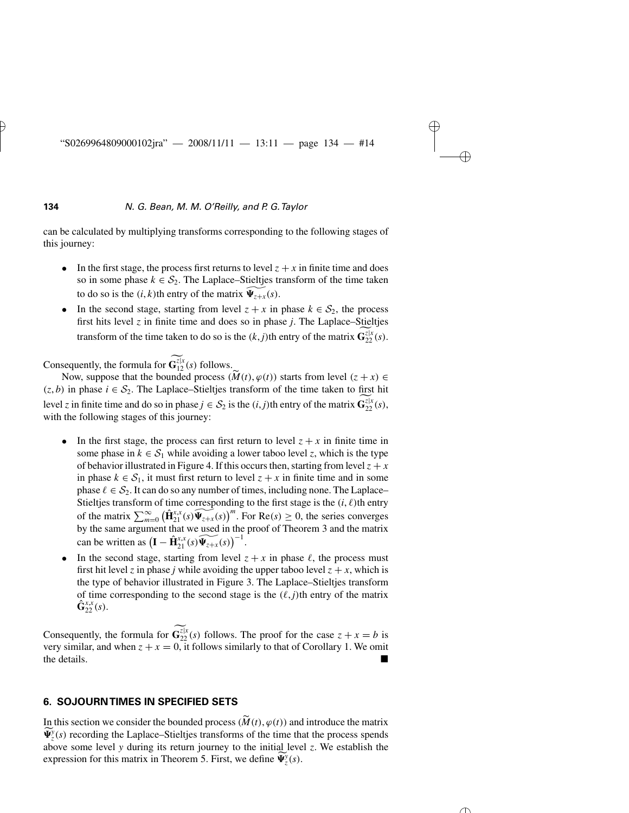can be calculated by multiplying transforms corresponding to the following stages of this journey:

- In the first stage, the process first returns to level  $z + x$  in finite time and does so in some phase  $k \in S_2$ . The Laplace–Stieltjes transform of the time taken to do so is the  $(i, k)$ th entry of the matrix  $\widetilde{\Psi_{z+x}}(s)$ .
- In the second stage, starting from level  $z + x$  in phase  $k \in S_2$ , the process first hits level *z* in finite time and does so in phase *j*. The Laplace–Stieltjes transform of the time taken to do so is the  $(k, j)$ <sup>th</sup> entry of the matrix  $\mathbf{G}_{22}^{z|x}(s)$ .

Consequently, the formula for  $\mathbf{G}_{12}^{z|x}(s)$  follows.

Now, suppose that the bounded process  $(\widetilde{M}(t), \varphi(t))$  starts from level  $(z + x) \in$  $(z, b)$  in phase  $i \in S_2$ . The Laplace–Stieltjes transform of the time taken to first hit level *z* in finite time and do so in phase  $j \in S_2$  is the  $(i, j)$ th entry of the matrix  $\mathbf{G}_{22}^{z|x}(s)$ , with the following stages of this journey:

- In the first stage, the process can first return to level  $z + x$  in finite time in some phase in  $k \in S_1$  while avoiding a lower taboo level *z*, which is the type of behavior illustrated in Figure 4. If this occurs then, starting from level  $z + x$ in phase  $k \in S_1$ , it must first return to level  $z + x$  in finite time and in some phase  $\ell \in S_2$ . It can do so any number of times, including none. The Laplace– Stieltjes transform of time corresponding to the first stage is the  $(i, \ell)$ th entry *i*n phase *k* ∈ *S*<sub>1</sub>, it must first return to level *z* + *x* in finite time and in some phase *k* ∈ *S*<sub>2</sub>. It can do so any number of times, including none. The Laplace–Stieltjes transform of time corresponding to t by the same argument that we used in the proof of Theorem 3 and the matrix Stieltjes transform<br>Stieltjes transform<br>of the matrix  $\sum_{m=1}^{\infty}$ <br>by the same argum<br>can be written as (  $\mathbf{I} - \hat{\mathbf{H}}_{21}^{x,x}(s) \widetilde{\Psi_{z+x}}(s) \bigg)^{-1}.$
- In the second stage, starting from level  $z + x$  in phase  $\ell$ , the process must first hit level *z* in phase *j* while avoiding the upper taboo level  $z + x$ , which is the type of behavior illustrated in Figure 3. The Laplace–Stieltjes transform of time corresponding to the second stage is the  $(\ell, j)$ <sup>th</sup> entry of the matrix  $\hat{\mathbf{G}}_{22}^{x,x}(s)$ .

Consequently, the formula for  $\mathbf{G}_{22}^{z|x}(s)$  follows. The proof for the case  $z + x = b$  is very similar, and when  $z + x = 0$ , it follows similarly to that of Corollary 1. We omit the details.

# **6. SOJOURN TIMES IN SPECIFIED SETS**

**IDEN TRIMERE IN SPECIFIED SETS**<br>In this section we consider the bounded process  $(\widetilde{M}(t), \varphi(t))$  and introduce the matrix  $\widetilde{\Psi}_{z}^{y}(s)$  recording the Laplace–Stieltjes transforms of the time that the process spends above some level *y* during its return journey to the initial level *z*. We establish the expression for this matrix in Theorem 5. First, we define  $\widetilde{\Psi}_{z}^{y}(s)$ .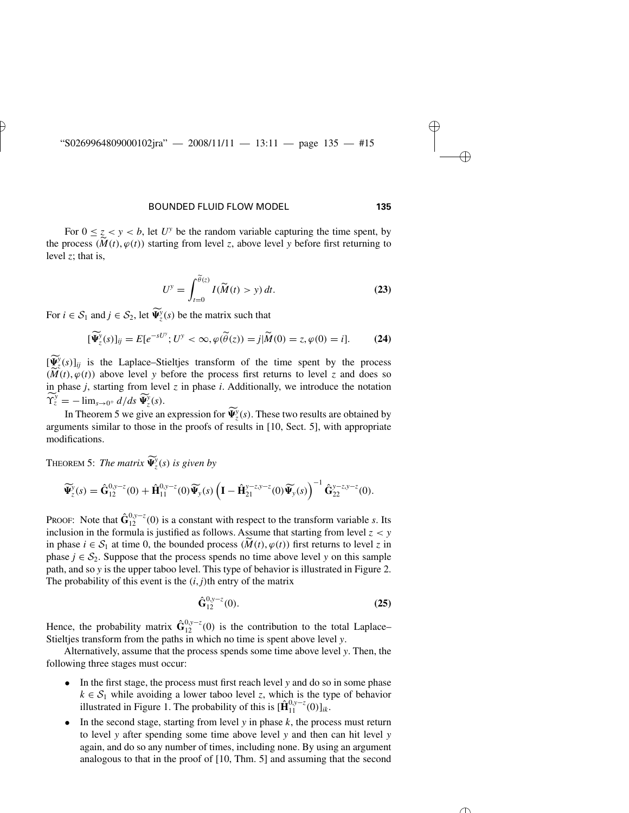For  $0 \leq z \leq y \leq b$ , let  $U^y$  be the random variable capturing the time spent, by **the process**  $(M(t), \varphi(t))$  **starting from level** *z***, above level** *y* **before first returning to the process**  $(M(t), \varphi(t))$  **starting from level** *z***, above level** *y* **before first returning to** level *z*; that is,  $\int d\widetilde{\theta}(z)$ 

$$
U^y = \int_{t=0}^{\tilde{\theta}(z)} I(\tilde{M}(t) > y) dt.
$$
 (23)

For  $i \in S_1$  and  $j \in S_2$ , let  $\widetilde{\Psi}_z^y(s)$  be the matrix such that  $\overline{\phantom{a}}$ 

$$
J_{t=0}
$$
  
\n
$$
\text{and } j \in S_2 \text{, let } \widetilde{\Psi}_z^y(s) \text{ be the matrix such that}
$$
  
\n
$$
[\widetilde{\Psi}_z^y(s)]_{ij} = E[e^{-sU^y}; U^y < \infty, \varphi(\widetilde{\theta}(z)) = j | \widetilde{M}(0) = z, \varphi(0) = i].
$$
\n(24)

 $[\Psi_{z}^{y}(s)]_{ij}$  is the Laplace–Stieltjes transform of the time spent by the process  $[\widetilde{\Psi}_{z}^{y}(s)]_{ij} = E[e^{-sU^{y}}; U^{y} < \infty, \varphi(\widetilde{\theta}(z)) = j | \widetilde{M}(0) = z, \varphi(0) = i].$  (24)<br> $[\widetilde{\Psi}_{z}^{y}(s)]_{ij}$  is the Laplace–Stieltjes transform of the time spent by the process  $(\widetilde{M}(t), \varphi(t))$  above level *y* before the process f in phase *j*, starting from level *z* in phase *i*. Additionally, we introduce the notation  $\widetilde{\Upsilon}_z^y = -\lim_{s\to 0^+} \frac{d}{ds} \widetilde{\Psi}_z^y(s).$  $[\widetilde{\Psi}^y(s)]_{ii}$  is the Laplace  $(M(t), \varphi(t))$  above level y before the process first returns to level z and does so

In Theorem 5 we give an expression for  $\widetilde{\Psi}_z^y(s)$ . These two results are obtained by arguments similar to those in the proofs of results in  $[10, \text{Sect. } 5]$ , with appropriate modifications.

**THEOREM 5:** The matrix  $\widetilde{\Psi}_{z}^{y}(s)$  is given by

$$
\widetilde{\Psi}_{z}^{y}(s) = \hat{\mathbf{G}}_{12}^{0,y-z}(0) + \hat{\mathbf{H}}_{11}^{0,y-z}(0)\widetilde{\Psi}_{y}(s)\left(\mathbf{I} - \hat{\mathbf{H}}_{21}^{y-z,y-z}(0)\widetilde{\Psi}_{y}(s)\right)^{-1}\hat{\mathbf{G}}_{22}^{y-z,y-z}(0).
$$

PROOF: Note that  $\hat{G}_{12}^{0,y-z}(0)$  is a constant with respect to the transform variable *s*. Its inclusion in the formula is justified as follows. Assume that starting from level  $z < y$ PROOF: Note that  $\hat{G}_{12}^{0,y-z}(0)$  is a constant with respect to the transform variable *s*. Its inclusion in the formula is justified as follows. Assume that starting from level  $z < y$  in phase  $i \in S_1$  at time 0, the bou phase  $j \in S_2$ . Suppose that the process spends no time above level *y* on this sample path, and so *y* is the upper taboo level. This type of behavior is illustrated in Figure 2. The probability of this event is the  $(i, j)$ <sup>th</sup> entry of the matrix

$$
\hat{\mathbf{G}}_{12}^{0,\mathbf{y}-z}(0). \tag{25}
$$

Hence, the probability matrix  $\hat{G}_{12}^{0,y-z}(0)$  is the contribution to the total Laplace– Stieltjes transform from the paths in which no time is spent above level *y*.

Alternatively, assume that the process spends some time above level *y*. Then, the following three stages must occur:

- In the first stage, the process must first reach level *y* and do so in some phase  $k \in S_1$  while avoiding a lower taboo level *z*, which is the type of behavior illustrated in Figure 1. The probability of this is  $[\hat{\mathbf{H}}_{11}^{0,y-z}(0)]_{ik}$ .
- In the second stage, starting from level  $y$  in phase  $k$ , the process must return to level *y* after spending some time above level *y* and then can hit level *y* again, and do so any number of times, including none. By using an argument analogous to that in the proof of [10, Thm. 5] and assuming that the second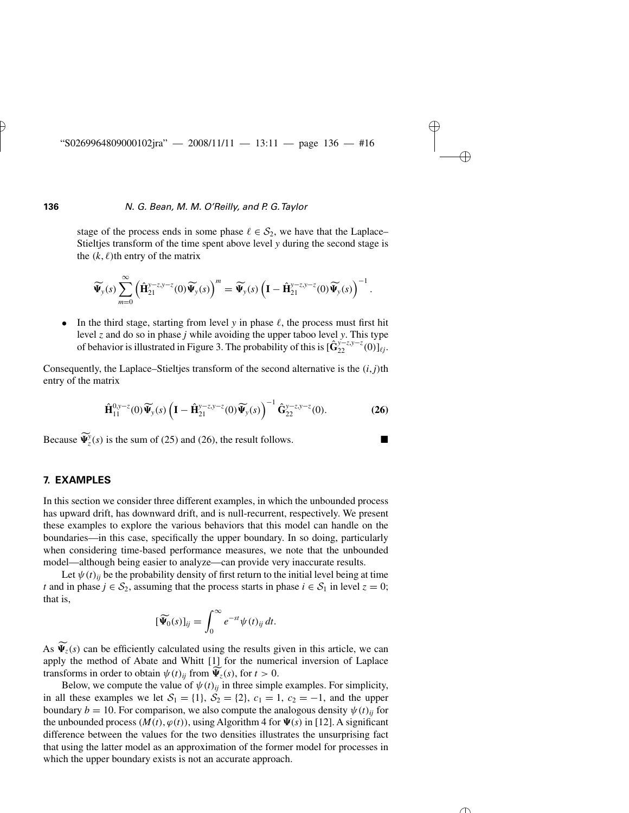stage of the process ends in some phase  $\ell \in S_2$ , we have that the Laplace– Stieltjes transform of the time spent above level *y* during the second stage is the  $(k, \ell)$ th entry of the matrix . . .<br>.  $\epsilon$  $\mathbf{v}$  $\overline{\mathbf{v}}$  $\overline{\mathbf{c}}$  $\overline{1}$ 

$$
\widetilde{\Psi}_y(s) \sum_{m=0}^{\infty} \left( \widehat{\mathbf{H}}_{21}^{y-z,y-z}(0) \widetilde{\Psi}_y(s) \right)^m = \widetilde{\Psi}_y(s) \left( \mathbf{I} - \widehat{\mathbf{H}}_{21}^{y-z,y-z}(0) \widetilde{\Psi}_y(s) \right)^{-1}.
$$

• In the third stage, starting from level *y* in phase  $\ell$ , the process must first hit level *z* and do so in phase *j* while avoiding the upper taboo level *y*. This type of behavior is illustrated in Figure 3. The probability of this is  $[\hat{\mathbf{G}}_{22}^{y-z,y-z}(0)]_{\ell j}$ .

Consequently, the Laplace–Stieltjes transform of the second alternative is the *(i*, *j)*th entry of the matrix  $\overline{\phantom{a}}$  $\mathfrak{h}$  t

$$
\widehat{\mathbf{H}}_{11}^{0,y-z}(0)\widetilde{\Psi}_y(s)\left(\mathbf{I}-\widehat{\mathbf{H}}_{21}^{y-z,y-z}(0)\widetilde{\Psi}_y(s)\right)^{-1}\widehat{\mathbf{G}}_{22}^{y-z,y-z}(0).
$$
 (26)

Because  $\widetilde{\Psi}_z^y(s)$  is the sum of (25) and (26), the result follows.

### **7. EXAMPLES**

In this section we consider three different examples, in which the unbounded process has upward drift, has downward drift, and is null-recurrent, respectively. We present these examples to explore the various behaviors that this model can handle on the boundaries—in this case, specifically the upper boundary. In so doing, particularly when considering time-based performance measures, we note that the unbounded model—although being easier to analyze—can provide very inaccurate results.

Let  $\psi(t)_{ij}$  be the probability density of first return to the initial level being at time *t* and in phase *j* ∈  $S_2$ , assuming that the process starts in phase *i* ∈  $S_1$  in level *z* = 0; that is,

$$
[\widetilde{\Psi}_0(s)]_{ij} = \int_0^\infty e^{-st} \psi(t)_{ij} dt.
$$

As  $\Psi_z(s)$  can be efficiently calculated using the results given in this article, we can apply the method of Abate and Whitt [1] for the numerical inversion of Laplace transforms in order to obtain  $\psi(t)_{ij}$  from  $\Psi_z(s)$ , for  $t > 0$ .

Below, we compute the value of  $\psi(t)_{ij}$  in three simple examples. For simplicity, in all these examples we let  $S_1 = \{1\}$ ,  $S_2 = \{2\}$ ,  $c_1 = 1$ ,  $c_2 = -1$ , and the upper boundary  $b = 10$ . For comparison, we also compute the analogous density  $\psi(t)_{ii}$  for the unbounded process  $(M(t), \varphi(t))$ , using Algorithm 4 for  $\Psi(s)$  in [12]. A significant difference between the values for the two densities illustrates the unsurprising fact that using the latter model as an approximation of the former model for processes in which the upper boundary exists is not an accurate approach.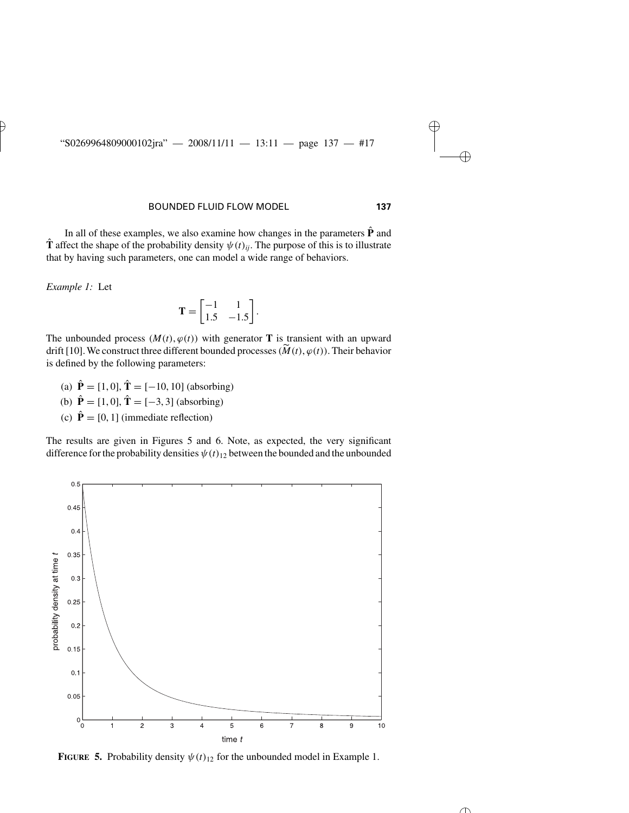In all of these examples, we also examine how changes in the parameters  $\hat{P}$  and **T** affect the shape of the probability density  $\psi(t)_{ii}$ . The purpose of this is to illustrate that by having such parameters, one can model a wide range of behaviors.<br>  $Example 1:$  Let<br>  $\mathbf{T} = \begin{bmatrix} -1 & 1 \\ 1.5 & -1.5 \end{bmatrix}$ .

*Example 1:* Let

$$
\mathbf{T} = \begin{bmatrix} -1 & 1 \\ 1.5 & -1.5 \end{bmatrix}.
$$

The unbounded process  $(M(t), \varphi(t))$  with generator **T** is transient with an upward  $\mathbf{T} = \begin{bmatrix} 1.5 & -1.5 \end{bmatrix}$ .<br>The unbounded process  $(M(t), \varphi(t))$  with generator **T** is transient with an upward drift [10]. We construct three different bounded processes  $(\widetilde{M}(t), \varphi(t))$ . Their behavior is defined by the following parameters:

- (a)  $\hat{\mathbf{P}} = [1, 0], \hat{\mathbf{T}} = [-10, 10]$  (absorbing) (b)  $\hat{\mathbf{P}} = [1, 0], \hat{\mathbf{T}} = [-3, 3]$  (absorbing)
- 
- (c)  $\hat{\mathbf{P}} = [0, 1]$  (immediate reflection)

The results are given in Figures 5 and 6. Note, as expected, the very significant difference for the probability densities  $\psi(t)_{12}$  between the bounded and the unbounded



**FIGURE** 5. Probability density  $\psi(t)_{12}$  for the unbounded model in Example 1.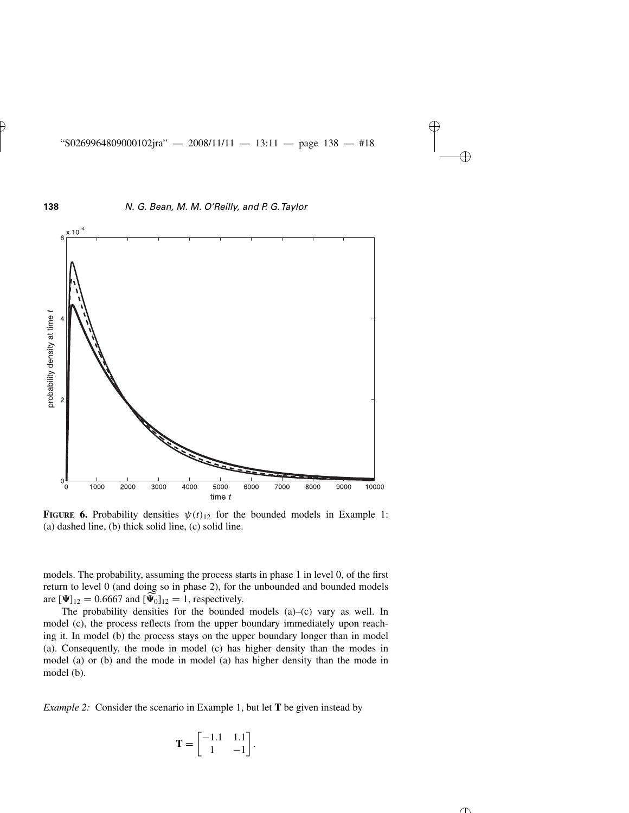

**FIGURE 6.** Probability densities  $\psi(t)_{12}$  for the bounded models in Example 1: (a) dashed line, (b) thick solid line, (c) solid line.

models. The probability, assuming the process starts in phase 1 in level 0, of the first return to level 0 (and doing so in phase 2), for the unbounded and bounded models are  $[\Psi]_{12} = 0.6667$  and  $[\Psi_0]_{12} = 1$ , respectively.

The probability densities for the bounded models (a)–(c) vary as well. In model (c), the process reflects from the upper boundary immediately upon reaching it. In model (b) the process stays on the upper boundary longer than in model (a). Consequently, the mode in model (c) has higher density than the modes in model (a) or (b) and the mode in model (a) has higher density than the mode in model (b).

*Example 2:* Consider the scenario in Example 1, but let **T** be given instead by

$$
\mathbf{T} = \begin{bmatrix} -1.1 & 1.1 \\ 1 & -1 \end{bmatrix}.
$$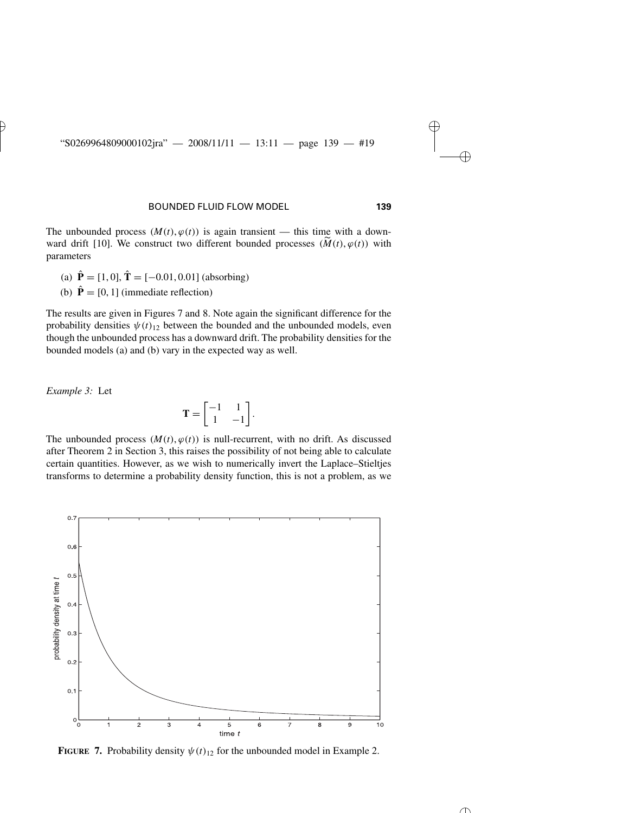The unbounded process  $(M(t), \varphi(t))$  is again transient — this time with a downward drift [10]. We construct two different bounded processes  $(M(t), \varphi(t))$  with parameters

- (a)  $\hat{\mathbf{P}} = [1, 0], \hat{\mathbf{T}} = [-0.01, 0.01]$  (absorbing)
- (b)  $\hat{\mathbf{P}} = [0, 1]$  (immediate reflection)

The results are given in Figures 7 and 8. Note again the significant difference for the probability densities  $\psi(t)_{12}$  between the bounded and the unbounded models, even though the unbounded process has a downward drift. The probability densities for the bounded models (a) and (b) vary in the expected way as well.

*Example 3:* Let

$$
\mathbf{T} = \begin{bmatrix} -1 & 1 \\ 1 & -1 \end{bmatrix}.
$$

The unbounded process  $(M(t), \varphi(t))$  is null-recurrent, with no drift. As discussed after Theorem 2 in Section 3, this raises the possibility of not being able to calculate certain quantities. However, as we wish to numerically invert the Laplace–Stieltjes transforms to determine a probability density function, this is not a problem, as we



**FIGURE** 7. Probability density  $\psi(t)_{12}$  for the unbounded model in Example 2.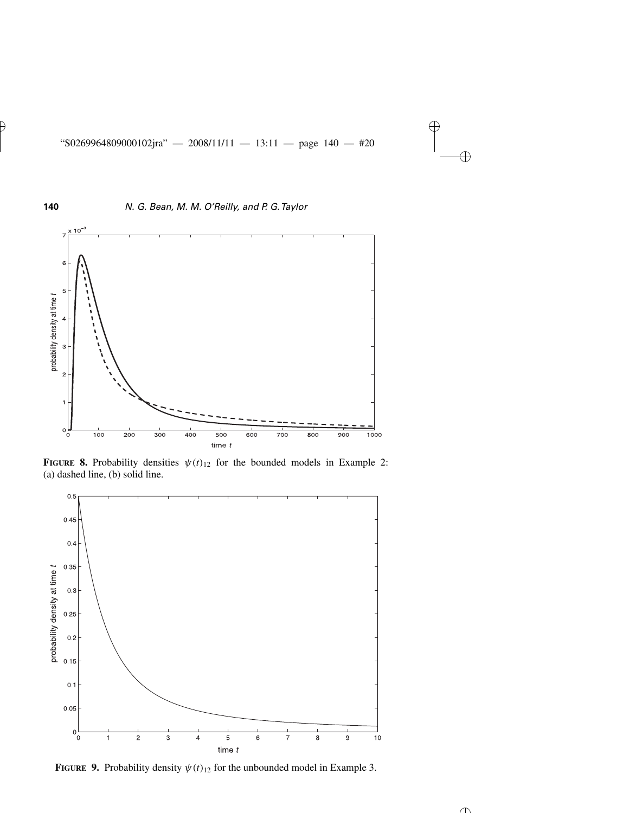

**FIGURE 8.** Probability densities  $\psi(t)_{12}$  for the bounded models in Example 2: (a) dashed line, (b) solid line.



**FIGURE** 9. Probability density  $\psi(t)_{12}$  for the unbounded model in Example 3.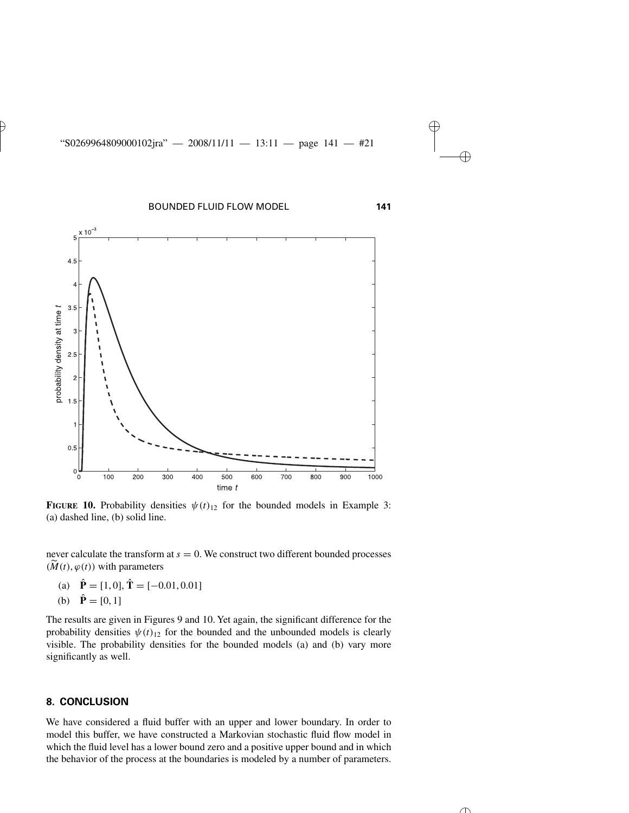

**FIGURE 10.** Probability densities  $\psi(t)_{12}$  for the bounded models in Example 3: (a) dashed line, (b) solid line.

never calculate the transform at  $s = 0$ . We construct two different bounded processes **(** $\widetilde{M}(t)$ ,  $\varphi(t)$ ) with parameters

(a)  $\hat{\mathbf{P}} = [1, 0], \hat{\mathbf{T}} = [-0.01, 0.01]$ 

$$
(b) \quad \hat{\mathbf{P}} = [0, 1]
$$

The results are given in Figures 9 and 10. Yet again, the significant difference for the probability densities  $\psi(t)_{12}$  for the bounded and the unbounded models is clearly visible. The probability densities for the bounded models (a) and (b) vary more significantly as well.

### **8. CONCLUSION**

We have considered a fluid buffer with an upper and lower boundary. In order to model this buffer, we have constructed a Markovian stochastic fluid flow model in which the fluid level has a lower bound zero and a positive upper bound and in which the behavior of the process at the boundaries is modeled by a number of parameters.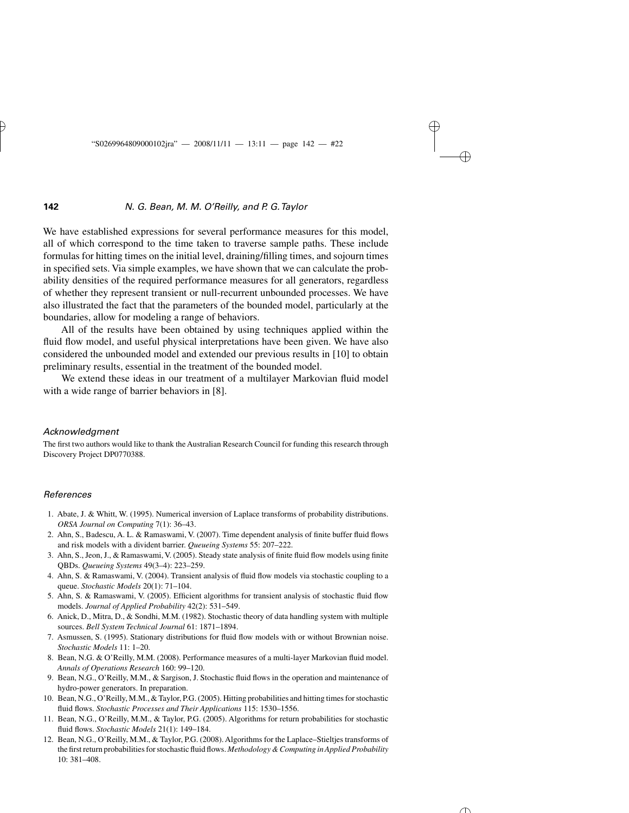We have established expressions for several performance measures for this model, all of which correspond to the time taken to traverse sample paths. These include formulas for hitting times on the initial level, draining/filling times, and sojourn times in specified sets. Via simple examples, we have shown that we can calculate the probability densities of the required performance measures for all generators, regardless of whether they represent transient or null-recurrent unbounded processes. We have also illustrated the fact that the parameters of the bounded model, particularly at the boundaries, allow for modeling a range of behaviors.

All of the results have been obtained by using techniques applied within the fluid flow model, and useful physical interpretations have been given. We have also considered the unbounded model and extended our previous results in [10] to obtain preliminary results, essential in the treatment of the bounded model.

We extend these ideas in our treatment of a multilayer Markovian fluid model with a wide range of barrier behaviors in [8].

#### *Acknowledgment*

The first two authors would like to thank the Australian Research Council for funding this research through Discovery Project DP0770388.

#### *References*

- 1. Abate, J. & Whitt, W. (1995). Numerical inversion of Laplace transforms of probability distributions. *ORSA Journal on Computing* 7(1): 36–43.
- 2. Ahn, S., Badescu, A. L. & Ramaswami, V. (2007). Time dependent analysis of finite buffer fluid flows and risk models with a divident barrier. *Queueing Systems* 55: 207–222.
- 3. Ahn, S., Jeon, J., & Ramaswami, V. (2005). Steady state analysis of finite fluid flow models using finite QBDs. *Queueing Systems* 49(3–4): 223–259.
- 4. Ahn, S. & Ramaswami, V. (2004). Transient analysis of fluid flow models via stochastic coupling to a queue. *Stochastic Models* 20(1): 71–104.
- 5. Ahn, S. & Ramaswami, V. (2005). Efficient algorithms for transient analysis of stochastic fluid flow models. *Journal of Applied Probability* 42(2): 531–549.
- 6. Anick, D., Mitra, D., & Sondhi, M.M. (1982). Stochastic theory of data handling system with multiple sources. *Bell System Technical Journal* 61: 1871–1894.
- 7. Asmussen, S. (1995). Stationary distributions for fluid flow models with or without Brownian noise. *Stochastic Models* 11: 1–20.
- 8. Bean, N.G. & O'Reilly, M.M. (2008). Performance measures of a multi-layer Markovian fluid model. *Annals of Operations Research* 160: 99–120.
- 9. Bean, N.G., O'Reilly, M.M., & Sargison, J. Stochastic fluid flows in the operation and maintenance of hydro-power generators. In preparation.
- 10. Bean, N.G., O'Reilly, M.M., & Taylor, P.G. (2005). Hitting probabilities and hitting times for stochastic fluid flows. *Stochastic Processes and Their Applications* 115: 1530–1556.
- 11. Bean, N.G., O'Reilly, M.M., & Taylor, P.G. (2005). Algorithms for return probabilities for stochastic fluid flows. *Stochastic Models* 21(1): 149–184.
- 12. Bean, N.G., O'Reilly, M.M., & Taylor, P.G. (2008). Algorithms for the Laplace–Stieltjes transforms of the first return probabilities for stochastic fluid flows. *Methodology & Computing in Applied Probability* 10: 381–408.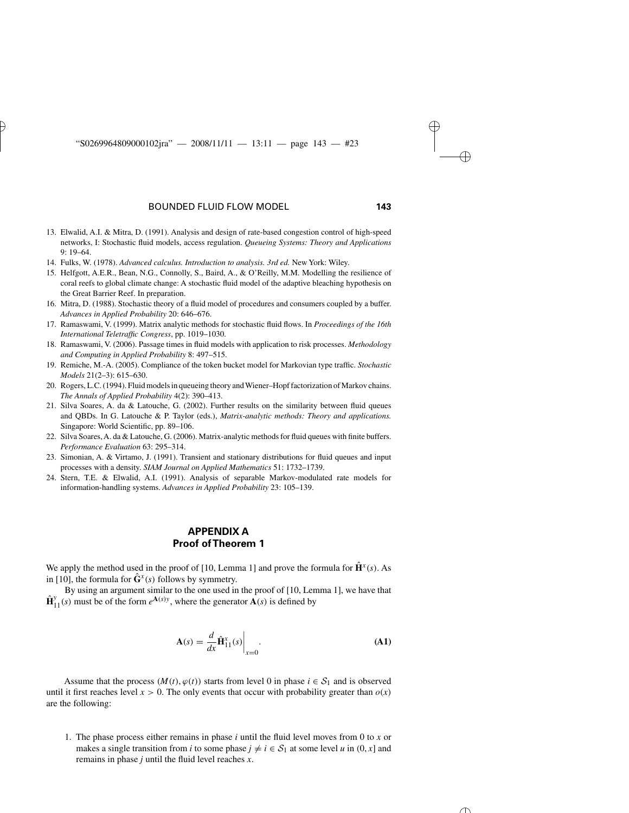- 13. Elwalid, A.I. & Mitra, D. (1991). Analysis and design of rate-based congestion control of high-speed networks, I: Stochastic fluid models, access regulation. *Queueing Systems: Theory and Applications* 9: 19–64.
- 14. Fulks, W. (1978). *Advanced calculus. Introduction to analysis. 3rd ed.* New York: Wiley.
- 15. Helfgott, A.E.R., Bean, N.G., Connolly, S., Baird, A., & O'Reilly, M.M. Modelling the resilience of coral reefs to global climate change: A stochastic fluid model of the adaptive bleaching hypothesis on the Great Barrier Reef. In preparation.
- 16. Mitra, D. (1988). Stochastic theory of a fluid model of procedures and consumers coupled by a buffer. *Advances in Applied Probability* 20: 646–676.
- 17. Ramaswami, V. (1999). Matrix analytic methods for stochastic fluid flows. In *Proceedings of the 16th International Teletraffic Congress*, pp. 1019–1030.
- 18. Ramaswami, V. (2006). Passage times in fluid models with application to risk processes. *Methodology and Computing in Applied Probability* 8: 497–515.
- 19. Remiche, M.-A. (2005). Compliance of the token bucket model for Markovian type traffic. *Stochastic Models* 21(2–3): 615–630.
- 20. Rogers, L.C. (1994). Fluid models in queueing theory andWiener–Hopf factorization of Markov chains. *The Annals of Applied Probability* 4(2): 390–413.
- 21. Silva Soares, A. da & Latouche, G. (2002). Further results on the similarity between fluid queues and QBDs. In G. Latouche & P. Taylor (eds.), *Matrix-analytic methods: Theory and applications.* Singapore: World Scientific, pp. 89–106.
- 22. Silva Soares, A. da & Latouche, G. (2006). Matrix-analytic methods for fluid queues with finite buffers. *Performance Evaluation* 63: 295–314.
- 23. Simonian, A. & Virtamo, J. (1991). Transient and stationary distributions for fluid queues and input processes with a density. *SIAM Journal on Applied Mathematics* 51: 1732–1739.
- 24. Stern, T.E. & Elwalid, A.I. (1991). Analysis of separable Markov-modulated rate models for information-handling systems. *Advances in Applied Probability* 23: 105–139.

## **APPENDIX A Proof of Theorem 1**

We apply the method used in the proof of [10, Lemma 1] and prove the formula for  $\hat{\mathbf{H}}^{x}(s)$ . As in [10], the formula for  $\hat{\mathbf{G}}^{x}(s)$  follows by symmetry.

By using an argument similar to the one used in the proof of  $[10, \text{Lemma 1}]$ , we have that  $\hat{\mathbf{H}}_{11}^{y}(s)$  must be of the form  $e^{\mathbf{A}(s)y}$ , where the generator  $\mathbf{A}(s)$  is defined by

$$
\mathbf{A}(s) = \frac{d}{dx} \hat{\mathbf{H}}_{11}^{x}(s) \bigg|_{x=0}.
$$
 (A1)

Assume that the process  $(M(t), \varphi(t))$  starts from level 0 in phase  $i \in S_1$  and is observed until it first reaches level  $x > 0$ . The only events that occur with probability greater than  $o(x)$ are the following:

1. The phase process either remains in phase *i* until the fluid level moves from 0 to *x* or makes a single transition from *i* to some phase  $j \neq i \in S_1$  at some level *u* in  $(0, x]$  and remains in phase *j* until the fluid level reaches *x*.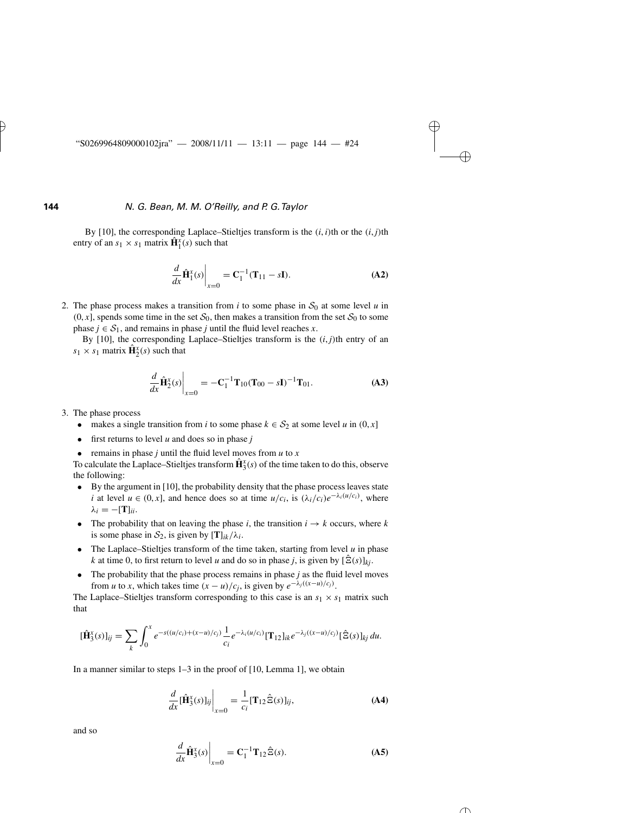By [10], the corresponding Laplace–Stieltjes transform is the  $(i, i)$ <sup>th</sup> or the  $(i, j)$ <sup>th</sup> entry of an  $s_1 \times s_1$  matrix  $\hat{\mathbf{H}}_1^x(s)$  such that

$$
\left. \frac{d}{dx} \hat{\mathbf{H}}_1^x(s) \right|_{x=0} = \mathbf{C}_1^{-1} (\mathbf{T}_{11} - s\mathbf{I}).
$$
 (A2)

2. The phase process makes a transition from *i* to some phase in  $S_0$  at some level *u* in  $(0, x]$ , spends some time in the set  $S_0$ , then makes a transition from the set  $S_0$  to some phase  $j \in S_1$ , and remains in phase *j* until the fluid level reaches *x*.

By [10], the corresponding Laplace–Stieltjes transform is the  $(i, j)$ <sup>th</sup> entry of an  $s_1 \times s_1$  matrix  $\hat{\mathbf{H}}_2^x(s)$  such that

$$
\frac{d}{dx}\hat{\mathbf{H}}_2^x(s)\bigg|_{x=0} = -\mathbf{C}_1^{-1}\mathbf{T}_{10}(\mathbf{T}_{00} - s\mathbf{I})^{-1}\mathbf{T}_{01}.
$$
 (A3)

- 3. The phase process
	- makes a single transition from *i* to some phase  $k \in S_2$  at some level *u* in  $(0, x]$
	- first returns to level *u* and does so in phase *j*
	- remains in phase *j* until the fluid level moves from  $u$  to  $x$

To calculate the Laplace–Stieltjes transform  $\hat{\mathbf{H}}_{3}^{x}(s)$  of the time taken to do this, observe the following:

- By the argument in  $[10]$ , the probability density that the phase process leaves state *i* at level  $u \in (0, x]$ , and hence does so at time  $u/c_i$ , is  $(\lambda_i/c_i)e^{-\lambda_i(u/c_i)}$ , where  $λ<sub>i</sub> = -[**T**]$ *ii*.
- The probability that on leaving the phase *i*, the transition  $i \rightarrow k$  occurs, where *k* is some phase in  $S_2$ , is given by  $[T]_{ik}/\lambda_i$ .
- The Laplace–Stieltjes transform of the time taken, starting from level *u* in phase *k* at time 0, to first return to level *u* and do so in phase *j*, is given by  $[\hat{\Xi}(s)]_{ki}$ .
- The probability that the phase process remains in phase *j* as the fluid level moves from *u* to *x*, which takes time  $(x - u)/c_j$ , is given by  $e^{-\lambda_j((x - u)/c_j)}$ .

The Laplace–Stieltjes transform corresponding to this case is an  $s_1 \times s_1$  matrix such that<br>  $[\hat{\mathbf{H}}_{3}^{x}(s)]_{ij} = \sum \int_{0}^{x} e^{-s((u/c_i)+(x-u)/c_j)} \frac{1}{c_i} e^{-\lambda_i(u/c_i)} [\mathbf{T}_{12}]_{ik} e^{-\lambda_j((x-u)/c_j)} [\hat{\Xi}(s)]_{kj} du.$ that

$$
[\hat{\mathbf{H}}_3^x(s)]_{ij} = \sum_k \int_0^x e^{-s((u/c_i)+(x-u)/c_j)} \frac{1}{c_i} e^{-\lambda_i(u/c_i)} [\mathbf{T}_{12}]_{ik} e^{-\lambda_j((x-u)/c_j)} [\hat{\Xi}(s)]_{kj} du.
$$

In a manner similar to steps 1–3 in the proof of [10, Lemma 1], we obtain

$$
\frac{d}{dx}[\hat{\mathbf{H}}_3^x(s)]_{ij}\bigg|_{x=0} = \frac{1}{c_i}[\mathbf{T}_{12}\hat{\Xi}(s)]_{ij},\tag{A4}
$$

and so

$$
\left. \frac{d}{dx} \hat{\mathbf{H}}_3^{\mathbf{x}}(s) \right|_{x=0} = \mathbf{C}_1^{-1} \mathbf{T}_{12} \hat{\Xi}(s). \tag{A5}
$$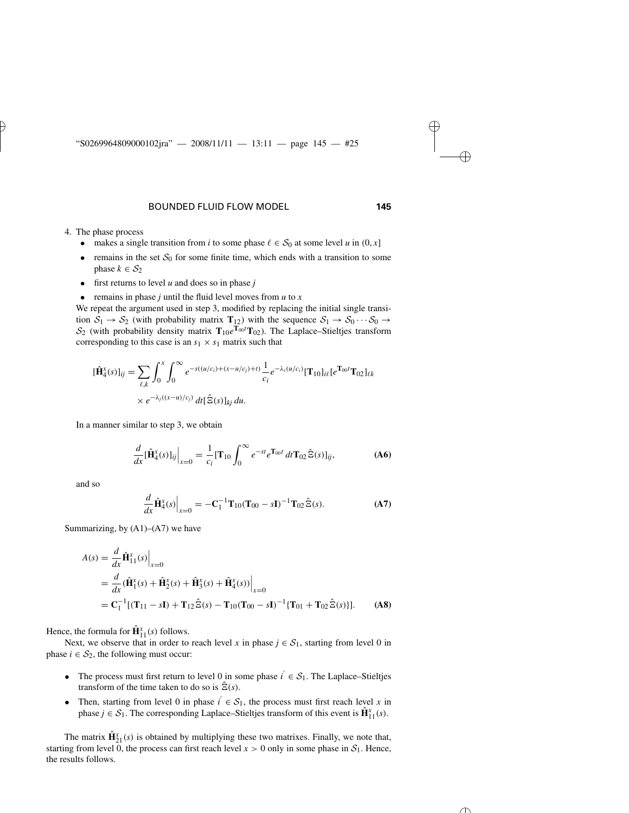- 4. The phase process
	- makes a single transition from *i* to some phase  $\ell \in S_0$  at some level *u* in  $(0, x]$
	- remains in the set  $S_0$  for some finite time, which ends with a transition to some phase  $k \in S_2$
	- first returns to level *u* and does so in phase *j*
	- remains in phase *j* until the fluid level moves from  $u$  to  $x$

We repeat the argument used in step 3, modified by replacing the initial single transition  $S_1 \rightarrow S_2$  (with probability matrix  $T_{12}$ ) with the sequence  $S_1 \rightarrow S_0 \cdots S_0 \rightarrow$ S<sub>2</sub> (with probability density matrix **T**<sub>10</sub>*e*<sup>**T**<sub>00</sub><sup>*t*</sup>**T**<sub>02</sub>). The Laplace–Stieltjes transform<br>
corresponding to this case is an  $s_1 \times s_1$  matrix such that<br>  $[\hat{\mathbf{H}}_4^x(s)]_{ij} = \sum \int_{0}^{x} \int_{0}^{\infty} e^{-s((u/c_i)+(x-u/c_j)+t)} \$ corresponding to this case is an  $s_1 \times s_1$  matrix such that

$$
\begin{aligned} [\hat{\mathbf{H}}_4^x(s)]_{ij} &= \sum_{\ell,k} \int_0^x \int_0^\infty e^{-s((u/c_i)+(x-u/c_j)+t)} \frac{1}{c_i} e^{-\lambda_i(u/c_i)} [\mathbf{T}_{10}]_{i\ell} [e^{\mathbf{T}_{00}t} \mathbf{T}_{02}]_{\ell k} \\ &\times e^{-\lambda_j((x-u)/c_j)} \, dt [\hat{\Xi}(s)]_{kj} \, du. \end{aligned}
$$

In a manner similar to step 3, we obtain

l 1.1.9

\nl 2.1.9

\nl 3, we obtain

\n
$$
\frac{d}{dx} [\hat{\mathbf{H}}_{4}^{x}(s)]_{ij}\Big|_{x=0} = \frac{1}{c_{i}} [\mathbf{T}_{10} \int_{0}^{\infty} e^{-st} e^{\mathbf{T}_{00}t} dt \mathbf{T}_{02} \hat{\Xi}(s)]_{ij},
$$
\n(A6)

and so

$$
\frac{d}{dx}\hat{\mathbf{H}}_4^x(s)\Big|_{x=0} = -\mathbf{C}_1^{-1}\mathbf{T}_{10}(\mathbf{T}_{00} - s\mathbf{I})^{-1}\mathbf{T}_{02}\hat{\Xi}(s).
$$
 (A7)

Summarizing, by (A1)–(A7) we have

$$
A(s) = \frac{d}{dx} \hat{\mathbf{H}}_{11}^{x}(s) \Big|_{x=0}
$$
  
=  $\frac{d}{dx} (\hat{\mathbf{H}}_{1}^{x}(s) + \hat{\mathbf{H}}_{2}^{x}(s) + \hat{\mathbf{H}}_{3}^{x}(s) + \hat{\mathbf{H}}_{4}^{x}(s)) \Big|_{x=0}$   
=  $\mathbf{C}_{1}^{-1} [(\mathbf{T}_{11} - s\mathbf{I}) + \mathbf{T}_{12} \hat{\Xi}(s) - \mathbf{T}_{10} (\mathbf{T}_{00} - s\mathbf{I})^{-1} {\mathbf{T}_{01} + \mathbf{T}_{02} \hat{\Xi}(s)}].$  (A8)

Hence, the formula for  $\hat{\mathbf{H}}_{11}^{x}(s)$  follows.

Next, we observe that in order to reach level *x* in phase  $j \in S_1$ , starting from level 0 in phase  $i \in S_2$ , the following must occur:

- The process must first return to level 0 in some phase  $i' \in S_1$ . The Laplace–Stieltjes transform of the time taken to do so is  $\hat{\Xi}(s)$ .
- Then, starting from level 0 in phase  $i \in S_1$ , the process must first reach level *x* in phase *j* ∈  $S_1$ . The corresponding Laplace–Stieltjes transform of this event is  $\hat{\mathbf{H}}_{11}^x(s)$ .

The matrix  $\hat{\mathbf{H}}_{21}^{x}(s)$  is obtained by multiplying these two matrixes. Finally, we note that, starting from level 0, the process can first reach level  $x > 0$  only in some phase in  $S_1$ . Hence, the results follows.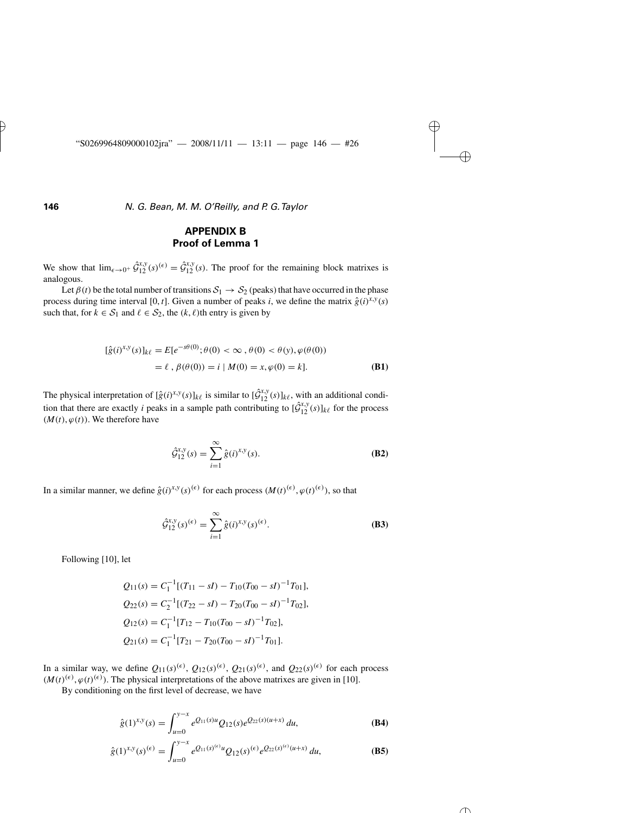## **APPENDIX B Proof of Lemma 1**

We show that  $\lim_{\epsilon \to 0^+} \hat{\mathcal{G}}_{12}^{x,y}(s) = \hat{\mathcal{G}}_{12}^{x,y}(s)$ . The proof for the remaining block matrixes is analogous.

Let  $\beta(t)$  be the total number of transitions  $S_1 \rightarrow S_2$  (peaks) that have occurred in the phase process during time interval [0, *t*]. Given a number of peaks *i*, we define the matrix  $\hat{g}(i)^{x,y}(s)$ such that, for  $k \in S_1$  and  $\ell \in S_2$ , the  $(k, \ell)$ th entry is given by

$$
[\hat{g}(i)^{x,y}(s)]_{k\ell} = E[e^{-s\theta(0)}; \theta(0) < \infty, \theta(0) < \theta(y), \varphi(\theta(0))
$$
  
=  $\ell, \beta(\theta(0)) = i | M(0) = x, \varphi(0) = k].$  (B1)

The physical interpretation of  $[\hat{g}(i)^{x,y}(s)]_{k\ell}$  is similar to  $[\hat{G}_{12}^{x,y}(s)]_{k\ell}$ , with an additional condition that there are exactly *i* peaks in a sample path contributing to  $[\hat{G}_{12}^{x,y}(s)]_{k\ell}$  for the process  $(M(t), \varphi(t))$ . We therefore have<br>  $\hat{G}_{12}^{x,y}(s) = \sum_{i=1}^{\infty} \hat{g}(i)^{x,y}(s)$ . (B2)  $(M(t), \varphi(t))$ . We therefore have

$$
\hat{\mathcal{G}}_{12}^{x,y}(s) = \sum_{i=1}^{\infty} \hat{g}(i)^{x,y}(s).
$$
 (B2)

In a similar manner, we define 
$$
\hat{g}(i)^{x,y}(s)^{(\epsilon)}
$$
 for each process  $(M(t)^{(\epsilon)}, \varphi(t)^{(\epsilon)})$ , so that  
\n
$$
\hat{\mathcal{G}}_{12}^{x,y}(s)^{(\epsilon)} = \sum_{i=1}^{\infty} \hat{g}(i)^{x,y}(s)^{(\epsilon)}.
$$
\n(B3)

Following [10], let

$$
Q_{11}(s) = C_1^{-1}[(T_{11} - sI) - T_{10}(T_{00} - sI)^{-1}T_{01}],
$$
  
\n
$$
Q_{22}(s) = C_2^{-1}[(T_{22} - sI) - T_{20}(T_{00} - sI)^{-1}T_{02}],
$$
  
\n
$$
Q_{12}(s) = C_1^{-1}[T_{12} - T_{10}(T_{00} - sI)^{-1}T_{02}],
$$
  
\n
$$
Q_{21}(s) = C_1^{-1}[T_{21} - T_{20}(T_{00} - sI)^{-1}T_{01}].
$$

In a similar way, we define  $Q_{11}(s)^{(\epsilon)}$ ,  $Q_{12}(s)^{(\epsilon)}$ ,  $Q_{21}(s)^{(\epsilon)}$ , and  $Q_{22}(s)^{(\epsilon)}$  for each process  $(M(t)^{(\epsilon)}, \varphi(t)^{(\epsilon)})$ . The physical interpretations of the above matrixes are given in [10].

By conditioning on the first level of decrease, we have

$$
\hat{g}(1)^{x,y}(s) = \int_{u=0}^{y-x} e^{Q_{11}(s)u} Q_{12}(s) e^{Q_{22}(s)(u+x)} du,
$$
 (B4)

$$
\hat{g}(1)^{x,y}(s)^{(\epsilon)} = \int_{u=0}^{y-x} e^{Q_{11}(s)^{(\epsilon)}u} Q_{12}(s)^{(\epsilon)} e^{Q_{22}(s)^{(\epsilon)}(u+x)} du,
$$
 (B5)